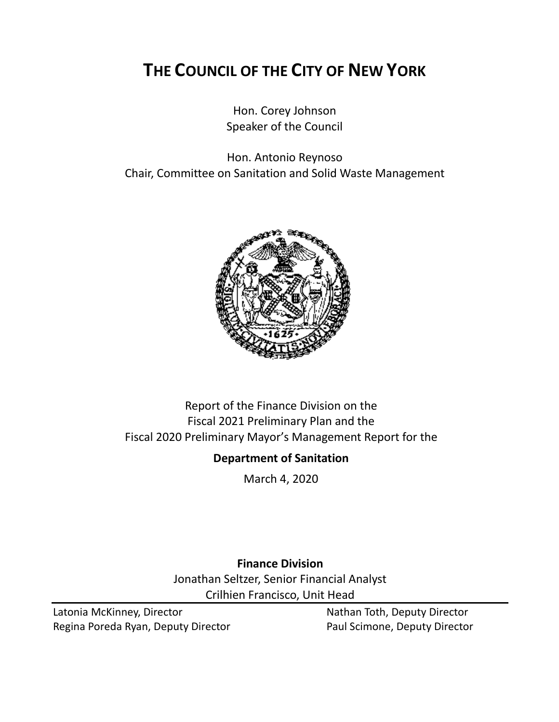# **THE COUNCIL OF THE CITY OF NEW YORK**

Hon. Corey Johnson Speaker of the Council

Hon. Antonio Reynoso Chair, Committee on Sanitation and Solid Waste Management



# Report of the Finance Division on the Fiscal 2021 Preliminary Plan and the Fiscal 2020 Preliminary Mayor's Management Report for the

# **Department of Sanitation**

March 4, 2020

**Finance Division** Jonathan Seltzer, Senior Financial Analyst Crilhien Francisco, Unit Head

Latonia McKinney, Director Nathan Toth, Deputy Director Regina Poreda Ryan, Deputy Director **Paul Scimone, Deputy Director**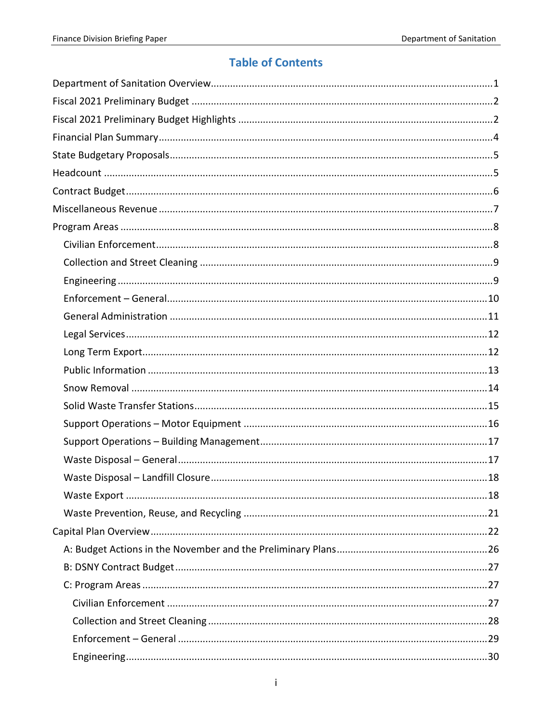# **Table of Contents**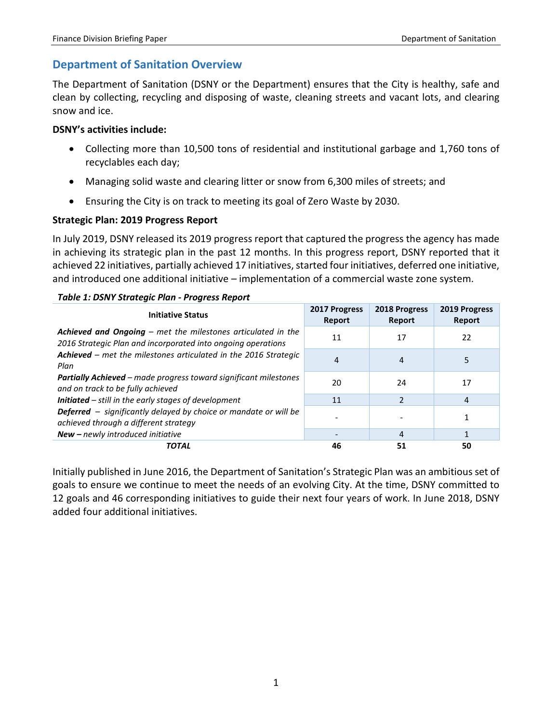# <span id="page-3-0"></span>**Department of Sanitation Overview**

The Department of Sanitation (DSNY or the Department) ensures that the City is healthy, safe and clean by collecting, recycling and disposing of waste, cleaning streets and vacant lots, and clearing snow and ice.

### **DSNY's activities include:**

- Collecting more than 10,500 tons of residential and institutional garbage and 1,760 tons of recyclables each day;
- Managing solid waste and clearing litter or snow from 6,300 miles of streets; and
- Ensuring the City is on track to meeting its goal of Zero Waste by 2030.

# **Strategic Plan: 2019 Progress Report**

In July 2019, DSNY released its 2019 progress report that captured the progress the agency has made in achieving its strategic plan in the past 12 months. In this progress report, DSNY reported that it achieved 22 initiatives, partially achieved 17 initiatives, started four initiatives, deferred one initiative, and introduced one additional initiative – implementation of a commercial waste zone system.

|  | Table 1: DSNY Strategic Plan - Progress Report |  |  |
|--|------------------------------------------------|--|--|
|  |                                                |  |  |

| <b>Initiative Status</b>                                                                                                     | 2017 Progress<br>Report | 2018 Progress<br>Report | 2019 Progress<br><b>Report</b> |
|------------------------------------------------------------------------------------------------------------------------------|-------------------------|-------------------------|--------------------------------|
| Achieved and Ongoing - met the milestones articulated in the<br>2016 Strategic Plan and incorporated into ongoing operations | 11                      | 17                      | 22                             |
| Achieved - met the milestones articulated in the 2016 Strategic<br>Plan                                                      | 4                       | 4                       | 5                              |
| <b>Partially Achieved</b> – made progress toward significant milestones<br>and on track to be fully achieved                 | 20                      | 24                      | 17                             |
| Initiated - still in the early stages of development                                                                         | 11                      | 2                       | 4                              |
| <b>Deferred</b> - significantly delayed by choice or mandate or will be<br>achieved through a different strategy             |                         |                         |                                |
| New - newly introduced initiative                                                                                            |                         | 4                       |                                |
| <b>TOTAL</b>                                                                                                                 | 46                      | 51                      | 50                             |

Initially published in June 2016, the Department of Sanitation's Strategic Plan was an ambitious set of goals to ensure we continue to meet the needs of an evolving City. At the time, DSNY committed to 12 goals and 46 corresponding initiatives to guide their next four years of work. In June 2018, DSNY added four additional initiatives.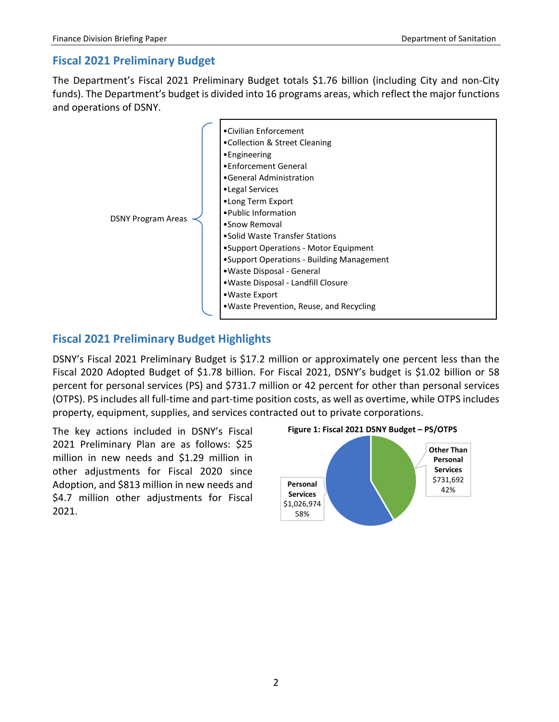# <span id="page-4-0"></span>**Fiscal 2021 Preliminary Budget**

The Department's Fiscal 2021 Preliminary Budget totals \$1.76 billion (including City and non-City funds). The Department's budget is divided into 16 programs areas, which reflect the major functions and operations of DSNY.



# <span id="page-4-1"></span>**Fiscal 2021 Preliminary Budget Highlights**

DSNY's Fiscal 2021 Preliminary Budget is \$17.2 million or approximately one percent less than the Fiscal 2020 Adopted Budget of \$1.78 billion. For Fiscal 2021, DSNY's budget is \$1.02 billion or 58 percent for personal services (PS) and \$731.7 million or 42 percent for other than personal services (OTPS). PS includes all full-time and part-time position costs, as well as overtime, while OTPS includes property, equipment, supplies, and services contracted out to private corporations.

The key actions included in DSNY's Fiscal 2021 Preliminary Plan are as follows: \$25 million in new needs and \$1.29 million in other adjustments for Fiscal 2020 since Adoption, and \$813 million in new needs and \$4.7 million other adjustments for Fiscal 2021.



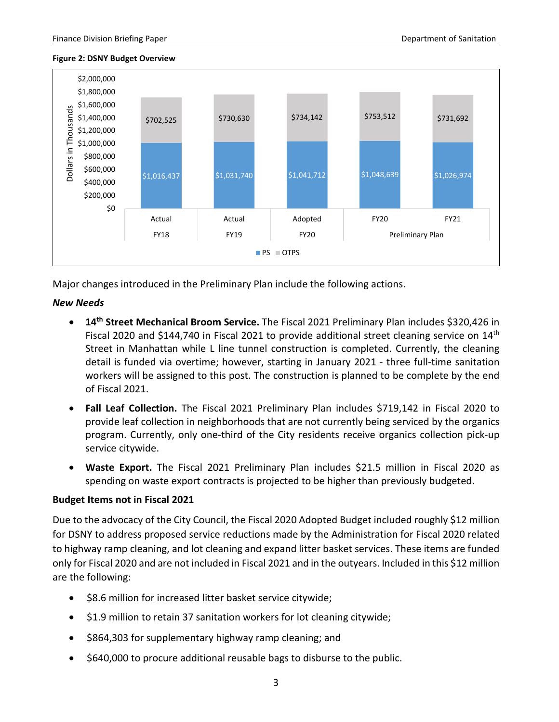#### **Figure 2: DSNY Budget Overview**



Major changes introduced in the Preliminary Plan include the following actions.

#### *New Needs*

- **14th Street Mechanical Broom Service.** The Fiscal 2021 Preliminary Plan includes \$320,426 in Fiscal 2020 and \$144,740 in Fiscal 2021 to provide additional street cleaning service on 14<sup>th</sup> Street in Manhattan while L line tunnel construction is completed. Currently, the cleaning detail is funded via overtime; however, starting in January 2021 - three full-time sanitation workers will be assigned to this post. The construction is planned to be complete by the end of Fiscal 2021.
- **Fall Leaf Collection.** The Fiscal 2021 Preliminary Plan includes \$719,142 in Fiscal 2020 to provide leaf collection in neighborhoods that are not currently being serviced by the organics program. Currently, only one-third of the City residents receive organics collection pick-up service citywide.
- **Waste Export.** The Fiscal 2021 Preliminary Plan includes \$21.5 million in Fiscal 2020 as spending on waste export contracts is projected to be higher than previously budgeted.

#### **Budget Items not in Fiscal 2021**

Due to the advocacy of the City Council, the Fiscal 2020 Adopted Budget included roughly \$12 million for DSNY to address proposed service reductions made by the Administration for Fiscal 2020 related to highway ramp cleaning, and lot cleaning and expand litter basket services. These items are funded only for Fiscal 2020 and are not included in Fiscal 2021 and in the outyears. Included in this \$12 million are the following:

- \$8.6 million for increased litter basket service citywide;
- \$1.9 million to retain 37 sanitation workers for lot cleaning citywide;
- \$864,303 for supplementary highway ramp cleaning; and
- \$640,000 to procure additional reusable bags to disburse to the public.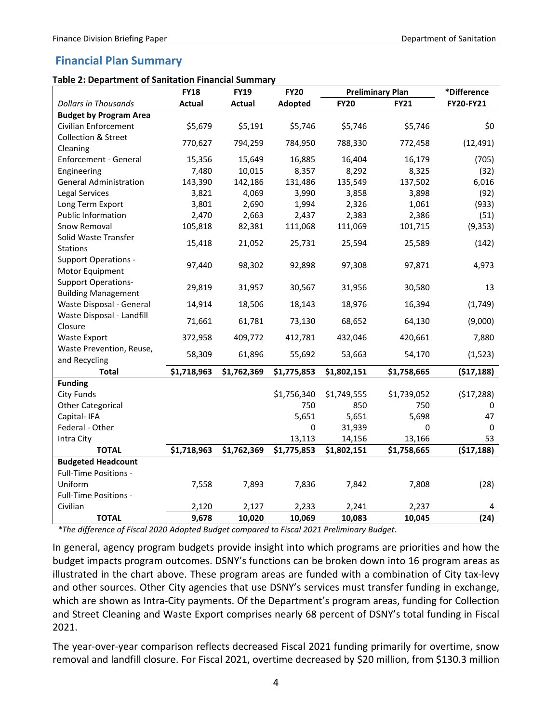# <span id="page-6-0"></span>**Financial Plan Summary**

#### **Table 2: Department of Sanitation Financial Summary**

|                                                          | <b>FY18</b>   | <b>FY19</b>   | <b>FY20</b> |             | <b>Preliminary Plan</b> | *Difference |
|----------------------------------------------------------|---------------|---------------|-------------|-------------|-------------------------|-------------|
| <b>Dollars in Thousands</b>                              | <b>Actual</b> | <b>Actual</b> | Adopted     | <b>FY20</b> | <b>FY21</b>             | FY20-FY21   |
| <b>Budget by Program Area</b>                            |               |               |             |             |                         |             |
| Civilian Enforcement                                     | \$5,679       | \$5,191       | \$5,746     | \$5,746     | \$5,746                 | \$0         |
| <b>Collection &amp; Street</b><br>Cleaning               | 770,627       | 794,259       | 784,950     | 788,330     | 772,458                 | (12, 491)   |
| Enforcement - General                                    | 15,356        | 15,649        | 16,885      | 16,404      | 16,179                  | (705)       |
| Engineering                                              | 7,480         | 10,015        | 8,357       | 8,292       | 8,325                   | (32)        |
| <b>General Administration</b>                            | 143,390       | 142,186       | 131,486     | 135,549     | 137,502                 | 6,016       |
| Legal Services                                           | 3,821         | 4,069         | 3,990       | 3,858       | 3,898                   | (92)        |
| Long Term Export                                         | 3,801         | 2,690         | 1,994       | 2,326       | 1,061                   | (933)       |
| <b>Public Information</b>                                | 2,470         | 2,663         | 2,437       | 2,383       | 2,386                   | (51)        |
| Snow Removal                                             | 105,818       | 82,381        | 111,068     | 111,069     | 101,715                 | (9, 353)    |
| Solid Waste Transfer<br><b>Stations</b>                  | 15,418        | 21,052        | 25,731      | 25,594      | 25,589                  | (142)       |
| <b>Support Operations -</b><br>Motor Equipment           | 97,440        | 98,302        | 92,898      | 97,308      | 97,871                  | 4,973       |
| <b>Support Operations-</b><br><b>Building Management</b> | 29,819        | 31,957        | 30,567      | 31,956      | 30,580                  | 13          |
| Waste Disposal - General                                 | 14,914        | 18,506        | 18,143      | 18,976      | 16,394                  | (1,749)     |
| Waste Disposal - Landfill<br>Closure                     | 71,661        | 61,781        | 73,130      | 68,652      | 64,130                  | (9,000)     |
| <b>Waste Export</b>                                      | 372,958       | 409,772       | 412,781     | 432,046     | 420,661                 | 7,880       |
| Waste Prevention, Reuse,                                 | 58,309        | 61,896        | 55,692      | 53,663      | 54,170                  | (1, 523)    |
| and Recycling                                            |               |               |             |             |                         |             |
| Total                                                    | \$1,718,963   | \$1,762,369   | \$1,775,853 | \$1,802,151 | \$1,758,665             | (\$17,188)  |
| <b>Funding</b><br><b>City Funds</b>                      |               |               | \$1,756,340 | \$1,749,555 | \$1,739,052             | (517, 288)  |
| <b>Other Categorical</b>                                 |               |               | 750         | 850         | 750                     | 0           |
| Capital-IFA                                              |               |               | 5,651       | 5,651       | 5,698                   | 47          |
| Federal - Other                                          |               |               | $\pmb{0}$   | 31,939      | 0                       | 0           |
| Intra City                                               |               |               | 13,113      | 14,156      | 13,166                  | 53          |
| <b>TOTAL</b>                                             | \$1,718,963   | \$1,762,369   | \$1,775,853 | \$1,802,151 | \$1,758,665             | (517, 188)  |
| <b>Budgeted Headcount</b>                                |               |               |             |             |                         |             |
| Full-Time Positions -                                    |               |               |             |             |                         |             |
| Uniform                                                  | 7,558         | 7,893         | 7,836       | 7,842       | 7,808                   | (28)        |
| Full-Time Positions -                                    |               |               |             |             |                         |             |
| Civilian                                                 | 2,120         | 2,127         | 2,233       | 2,241       | 2,237                   | 4           |
| <b>TOTAL</b>                                             | 9,678         | 10,020        | 10,069      | 10,083      | 10,045                  | (24)        |

*\*The difference of Fiscal 2020 Adopted Budget compared to Fiscal 2021 Preliminary Budget.*

In general, agency program budgets provide insight into which programs are priorities and how the budget impacts program outcomes. DSNY's functions can be broken down into 16 program areas as illustrated in the chart above. These program areas are funded with a combination of City tax-levy and other sources. Other City agencies that use DSNY's services must transfer funding in exchange, which are shown as Intra-City payments. Of the Department's program areas, funding for Collection and Street Cleaning and Waste Export comprises nearly 68 percent of DSNY's total funding in Fiscal 2021.

The year-over-year comparison reflects decreased Fiscal 2021 funding primarily for overtime, snow removal and landfill closure. For Fiscal 2021, overtime decreased by \$20 million, from \$130.3 million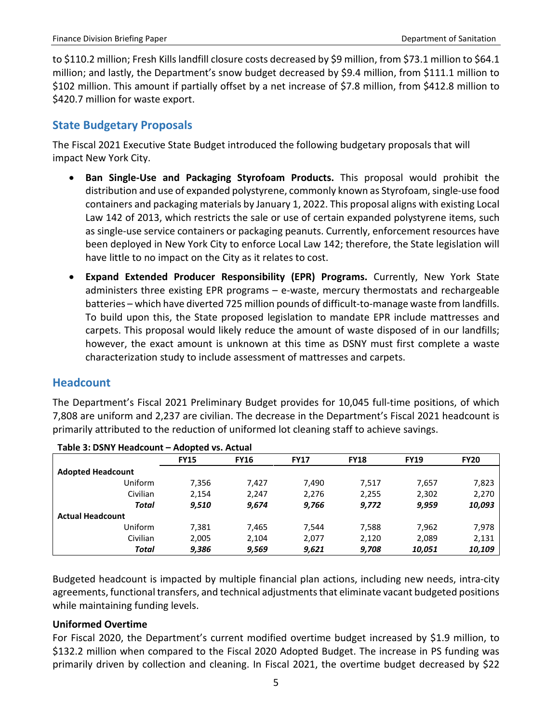to \$110.2 million; Fresh Kills landfill closure costs decreased by \$9 million, from \$73.1 million to \$64.1 million; and lastly, the Department's snow budget decreased by \$9.4 million, from \$111.1 million to \$102 million. This amount if partially offset by a net increase of \$7.8 million, from \$412.8 million to \$420.7 million for waste export.

# <span id="page-7-0"></span>**State Budgetary Proposals**

The Fiscal 2021 Executive State Budget introduced the following budgetary proposals that will impact New York City.

- **Ban Single-Use and Packaging Styrofoam Products.** This proposal would prohibit the distribution and use of expanded polystyrene, commonly known as Styrofoam, single-use food containers and packaging materials by January 1, 2022. This proposal aligns with existing Local Law 142 of 2013, which restricts the sale or use of certain expanded polystyrene items, such as single-use service containers or packaging peanuts. Currently, enforcement resources have been deployed in New York City to enforce Local Law 142; therefore, the State legislation will have little to no impact on the City as it relates to cost.
- **Expand Extended Producer Responsibility (EPR) Programs.** Currently, New York State administers three existing EPR programs – e-waste, mercury thermostats and rechargeable batteries – which have diverted 725 million pounds of difficult-to-manage waste from landfills. To build upon this, the State proposed legislation to mandate EPR include mattresses and carpets. This proposal would likely reduce the amount of waste disposed of in our landfills; however, the exact amount is unknown at this time as DSNY must first complete a waste characterization study to include assessment of mattresses and carpets.

# <span id="page-7-1"></span>**Headcount**

The Department's Fiscal 2021 Preliminary Budget provides for 10,045 full-time positions, of which 7,808 are uniform and 2,237 are civilian. The decrease in the Department's Fiscal 2021 headcount is primarily attributed to the reduction of uniformed lot cleaning staff to achieve savings.

| Table 3: DSNT Headcount – Adopted VS. Actual |             |             |             |             |             |             |  |  |
|----------------------------------------------|-------------|-------------|-------------|-------------|-------------|-------------|--|--|
|                                              | <b>FY15</b> | <b>FY16</b> | <b>FY17</b> | <b>FY18</b> | <b>FY19</b> | <b>FY20</b> |  |  |
| <b>Adopted Headcount</b>                     |             |             |             |             |             |             |  |  |
| Uniform                                      | 7.356       | 7.427       | 7.490       | 7,517       | 7,657       | 7,823       |  |  |
| Civilian                                     | 2,154       | 2,247       | 2,276       | 2,255       | 2,302       | 2,270       |  |  |
| Total                                        | 9.510       | 9,674       | 9,766       | 9,772       | 9,959       | 10,093      |  |  |
| <b>Actual Headcount</b>                      |             |             |             |             |             |             |  |  |
| Uniform                                      | 7,381       | 7,465       | 7.544       | 7,588       | 7,962       | 7,978       |  |  |
| Civilian                                     | 2,005       | 2,104       | 2,077       | 2,120       | 2,089       | 2,131       |  |  |
| Total                                        | 9,386       | 9,569       | 9,621       | 9,708       | 10,051      | 10,109      |  |  |

**Table 3: DSNY Headcount – Adopted vs. Actual** 

Budgeted headcount is impacted by multiple financial plan actions, including new needs, intra-city agreements, functional transfers, and technical adjustments that eliminate vacant budgeted positions while maintaining funding levels.

# **Uniformed Overtime**

For Fiscal 2020, the Department's current modified overtime budget increased by \$1.9 million, to \$132.2 million when compared to the Fiscal 2020 Adopted Budget. The increase in PS funding was primarily driven by collection and cleaning. In Fiscal 2021, the overtime budget decreased by \$22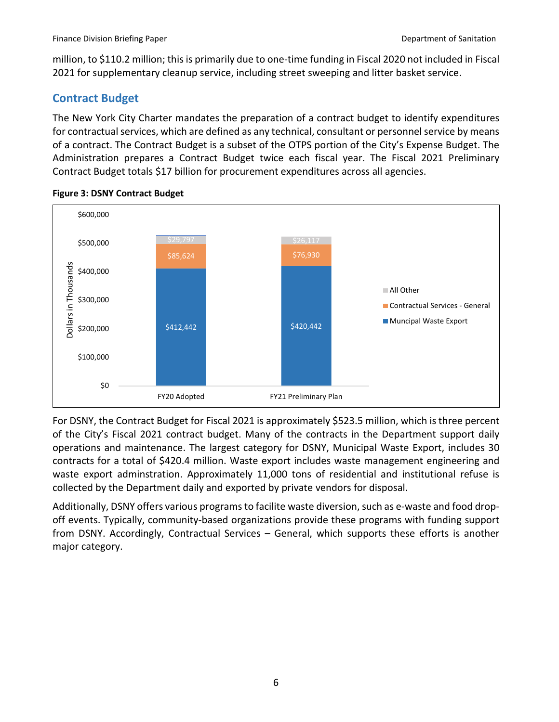million, to \$110.2 million; this is primarily due to one-time funding in Fiscal 2020 not included in Fiscal 2021 for supplementary cleanup service, including street sweeping and litter basket service.

# <span id="page-8-0"></span>**Contract Budget**

The New York City Charter mandates the preparation of a contract budget to identify expenditures for contractual services, which are defined as any technical, consultant or personnel service by means of a contract. The Contract Budget is a subset of the OTPS portion of the City's Expense Budget. The Administration prepares a Contract Budget twice each fiscal year. The Fiscal 2021 Preliminary Contract Budget totals \$17 billion for procurement expenditures across all agencies.



#### **Figure 3: DSNY Contract Budget**

For DSNY, the Contract Budget for Fiscal 2021 is approximately \$523.5 million, which is three percent of the City's Fiscal 2021 contract budget. Many of the contracts in the Department support daily operations and maintenance. The largest category for DSNY, Municipal Waste Export, includes 30 contracts for a total of \$420.4 million. Waste export includes waste management engineering and waste export adminstration. Approximately 11,000 tons of residential and institutional refuse is collected by the Department daily and exported by private vendors for disposal.

Additionally, DSNY offers various programs to facilite waste diversion, such as e-waste and food dropoff events. Typically, community-based organizations provide these programs with funding support from DSNY. Accordingly, Contractual Services – General, which supports these efforts is another major category.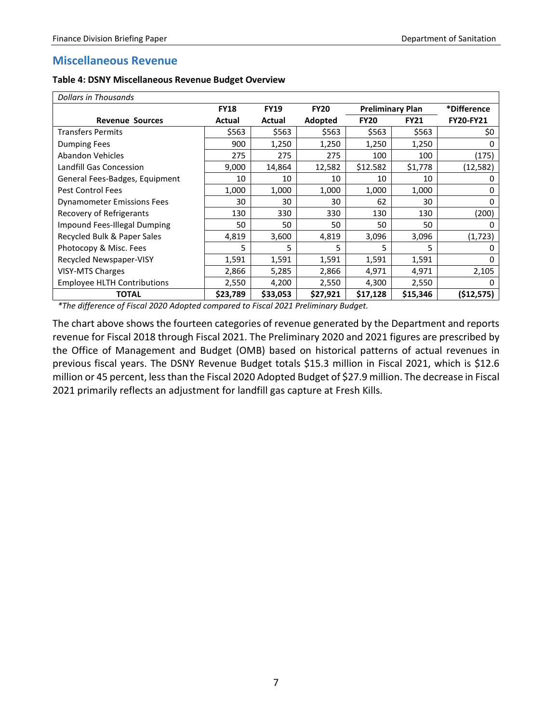# <span id="page-9-0"></span>**Miscellaneous Revenue**

| Table 4: DSNY Miscellaneous Revenue Budget Overview |  |  |
|-----------------------------------------------------|--|--|
|-----------------------------------------------------|--|--|

| Dollars in Thousands               |             |             |             |                         |             |                  |
|------------------------------------|-------------|-------------|-------------|-------------------------|-------------|------------------|
|                                    | <b>FY18</b> | <b>FY19</b> | <b>FY20</b> | <b>Preliminary Plan</b> |             | *Difference      |
| <b>Revenue Sources</b>             | Actual      | Actual      | Adopted     | <b>FY20</b>             | <b>FY21</b> | <b>FY20-FY21</b> |
| <b>Transfers Permits</b>           | \$563       | \$563       | \$563       | \$563                   | \$563       | \$0              |
| Dumping Fees                       | 900         | 1,250       | 1,250       | 1,250                   | 1,250       |                  |
| Abandon Vehicles                   | 275         | 275         | 275         | 100                     | 100         | (175)            |
| <b>Landfill Gas Concession</b>     | 9,000       | 14,864      | 12,582      | \$12.582                | \$1,778     | (12,582)         |
| General Fees-Badges, Equipment     | 10          | 10          | 10          | 10                      | 10          |                  |
| Pest Control Fees                  | 1,000       | 1,000       | 1,000       | 1,000                   | 1,000       | 0                |
| <b>Dynamometer Emissions Fees</b>  | 30          | 30          | 30          | 62                      | 30          | 0                |
| Recovery of Refrigerants           | 130         | 330         | 330         | 130                     | 130         | (200)            |
| Impound Fees-Illegal Dumping       | 50          | 50          | 50          | 50                      | 50          | 0                |
| Recycled Bulk & Paper Sales        | 4,819       | 3,600       | 4,819       | 3,096                   | 3,096       | (1, 723)         |
| Photocopy & Misc. Fees             | 5.          | 5           | 5           | 5                       | 5           |                  |
| Recycled Newspaper-VISY            | 1,591       | 1,591       | 1,591       | 1,591                   | 1,591       | 0                |
| <b>VISY-MTS Charges</b>            | 2,866       | 5,285       | 2,866       | 4,971                   | 4,971       | 2,105            |
| <b>Employee HLTH Contributions</b> | 2,550       | 4,200       | 2,550       | 4,300                   | 2,550       |                  |
| <b>TOTAL</b>                       | \$23,789    | \$33,053    | \$27,921    | \$17,128                | \$15,346    | (\$12,575)       |

*\*The difference of Fiscal 2020 Adopted compared to Fiscal 2021 Preliminary Budget.*

The chart above shows the fourteen categories of revenue generated by the Department and reports revenue for Fiscal 2018 through Fiscal 2021. The Preliminary 2020 and 2021 figures are prescribed by the Office of Management and Budget (OMB) based on historical patterns of actual revenues in previous fiscal years. The DSNY Revenue Budget totals \$15.3 million in Fiscal 2021, which is \$12.6 million or 45 percent, lessthan the Fiscal 2020 Adopted Budget of \$27.9 million. The decrease in Fiscal 2021 primarily reflects an adjustment for landfill gas capture at Fresh Kills.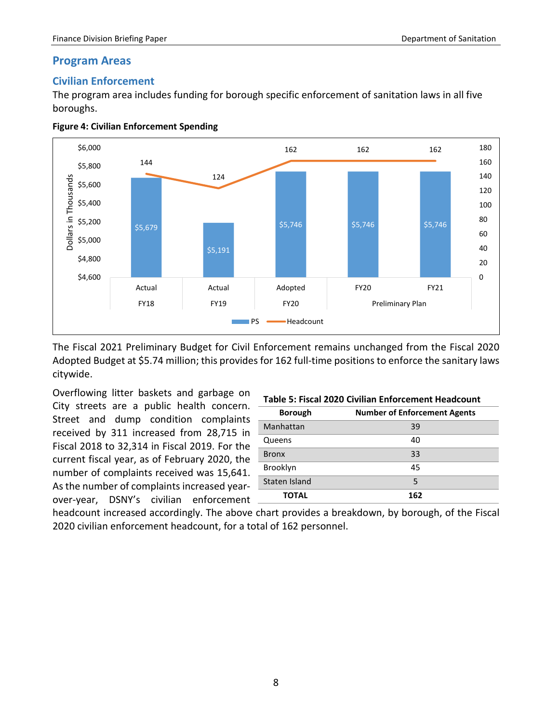#### <span id="page-10-0"></span>**Program Areas**

### <span id="page-10-1"></span>**Civilian Enforcement**

The program area includes funding for borough specific enforcement of sanitation laws in all five boroughs.





The Fiscal 2021 Preliminary Budget for Civil Enforcement remains unchanged from the Fiscal 2020 Adopted Budget at \$5.74 million; this provides for 162 full-time positions to enforce the sanitary laws citywide.

Overflowing litter baskets and garbage on City streets are a public health concern. Street and dump condition complaints received by 311 increased from 28,715 in Fiscal 2018 to 32,314 in Fiscal 2019. For the current fiscal year, as of February 2020, the number of complaints received was 15,641. As the number of complaints increased yearover-year, DSNY's civilian enforcement

| Table 5: Fiscal 2020 Civilian Enforcement Headcount |  |
|-----------------------------------------------------|--|
|-----------------------------------------------------|--|

| <b>Borough</b> | <b>Number of Enforcement Agents</b> |
|----------------|-------------------------------------|
| Manhattan      | 39                                  |
| Queens         | 40                                  |
| <b>Bronx</b>   | 33                                  |
| Brooklyn       | 45                                  |
| Staten Island  | 5                                   |
| ΤΟΤΑL          | 162                                 |

headcount increased accordingly. The above chart provides a breakdown, by borough, of the Fiscal 2020 civilian enforcement headcount, for a total of 162 personnel.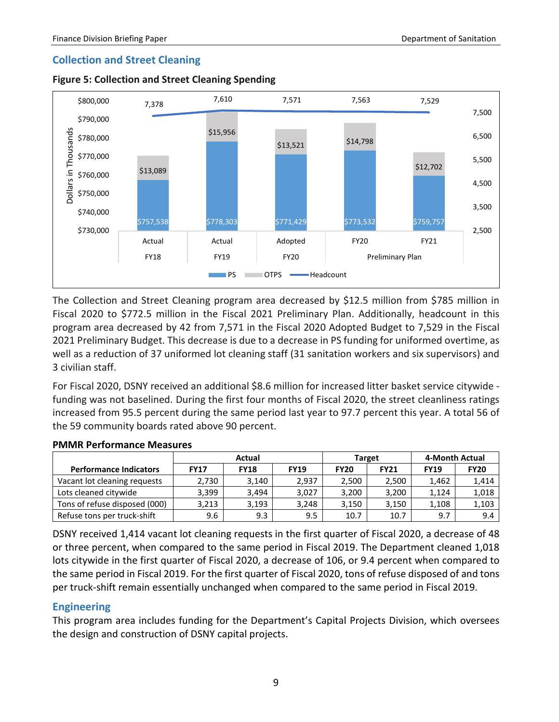### <span id="page-11-0"></span>**Collection and Street Cleaning**





The Collection and Street Cleaning program area decreased by \$12.5 million from \$785 million in Fiscal 2020 to \$772.5 million in the Fiscal 2021 Preliminary Plan. Additionally, headcount in this program area decreased by 42 from 7,571 in the Fiscal 2020 Adopted Budget to 7,529 in the Fiscal 2021 Preliminary Budget. This decrease is due to a decrease in PS funding for uniformed overtime, as well as a reduction of 37 uniformed lot cleaning staff (31 sanitation workers and six supervisors) and 3 civilian staff.

For Fiscal 2020, DSNY received an additional \$8.6 million for increased litter basket service citywide funding was not baselined. During the first four months of Fiscal 2020, the street cleanliness ratings increased from 95.5 percent during the same period last year to 97.7 percent this year. A total 56 of the 59 community boards rated above 90 percent.

|                               |             | Actual      |             |             | <b>Target</b> | 4-Month Actual |             |
|-------------------------------|-------------|-------------|-------------|-------------|---------------|----------------|-------------|
| <b>Performance Indicators</b> | <b>FY17</b> | <b>FY18</b> | <b>FY19</b> | <b>FY20</b> | <b>FY21</b>   | <b>FY19</b>    | <b>FY20</b> |
| Vacant lot cleaning requests  | 2,730       | 3.140       | 2.937       | 2,500       | 2.500         | 1.462          | 1,414       |
| Lots cleaned citywide         | 3,399       | 3.494       | 3,027       | 3,200       | 3,200         | 1,124          | 1,018       |
| Tons of refuse disposed (000) | 3,213       | 3,193       | 3,248       | 3,150       | 3,150         | 1,108          | 1,103       |
| Refuse tons per truck-shift   | 9.6         | 9.3         | 9.5         | 10.7        | 10.7          | 9.7            | 9.4         |

#### **PMMR Performance Measures**

DSNY received 1,414 vacant lot cleaning requests in the first quarter of Fiscal 2020, a decrease of 48 or three percent, when compared to the same period in Fiscal 2019. The Department cleaned 1,018 lots citywide in the first quarter of Fiscal 2020, a decrease of 106, or 9.4 percent when compared to the same period in Fiscal 2019. For the first quarter of Fiscal 2020, tons of refuse disposed of and tons per truck-shift remain essentially unchanged when compared to the same period in Fiscal 2019.

#### <span id="page-11-1"></span>**Engineering**

This program area includes funding for the Department's Capital Projects Division, which oversees the design and construction of DSNY capital projects.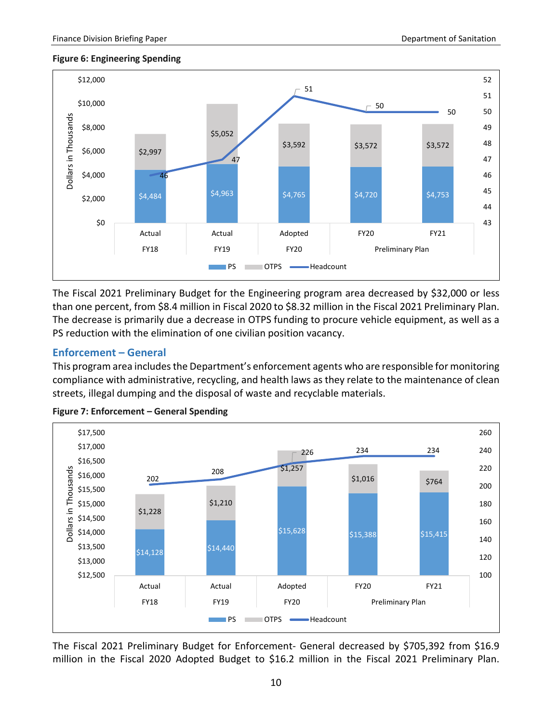#### **Figure 6: Engineering Spending**



The Fiscal 2021 Preliminary Budget for the Engineering program area decreased by \$32,000 or less than one percent, from \$8.4 million in Fiscal 2020 to \$8.32 million in the Fiscal 2021 Preliminary Plan. The decrease is primarily due a decrease in OTPS funding to procure vehicle equipment, as well as a PS reduction with the elimination of one civilian position vacancy.

### <span id="page-12-0"></span>**Enforcement – General**

This program area includes the Department's enforcement agents who are responsible for monitoring compliance with administrative, recycling, and health laws as they relate to the maintenance of clean streets, illegal dumping and the disposal of waste and recyclable materials.



**Figure 7: Enforcement – General Spending** 

The Fiscal 2021 Preliminary Budget for Enforcement- General decreased by \$705,392 from \$16.9 million in the Fiscal 2020 Adopted Budget to \$16.2 million in the Fiscal 2021 Preliminary Plan.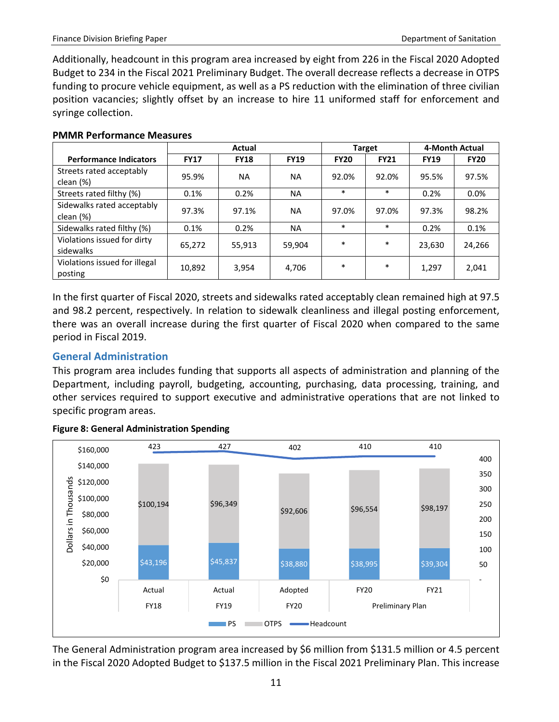Additionally, headcount in this program area increased by eight from 226 in the Fiscal 2020 Adopted Budget to 234 in the Fiscal 2021 Preliminary Budget. The overall decrease reflects a decrease in OTPS funding to procure vehicle equipment, as well as a PS reduction with the elimination of three civilian position vacancies; slightly offset by an increase to hire 11 uniformed staff for enforcement and syringe collection.

|                                          | <b>Actual</b> |             |             |             | <b>Target</b> | 4-Month Actual |             |
|------------------------------------------|---------------|-------------|-------------|-------------|---------------|----------------|-------------|
| <b>Performance Indicators</b>            | <b>FY17</b>   | <b>FY18</b> | <b>FY19</b> | <b>FY20</b> | <b>FY21</b>   | <b>FY19</b>    | <b>FY20</b> |
| Streets rated acceptably<br>clean (%)    | 95.9%         | <b>NA</b>   | <b>NA</b>   | 92.0%       | 92.0%         | 95.5%          | 97.5%       |
| Streets rated filthy (%)                 | 0.1%          | 0.2%        | <b>NA</b>   | $\ast$      | $\ast$        | 0.2%           | $0.0\%$     |
| Sidewalks rated acceptably<br>clean (%)  | 97.3%         | 97.1%       | <b>NA</b>   | 97.0%       | 97.0%         | 97.3%          | 98.2%       |
| Sidewalks rated filthy (%)               | 0.1%          | 0.2%        | NA.         | $\ast$      | $\ast$        | 0.2%           | 0.1%        |
| Violations issued for dirty<br>sidewalks | 65,272        | 55,913      | 59,904      | $\ast$      | $\ast$        | 23,630         | 24,266      |
| Violations issued for illegal<br>posting | 10,892        | 3,954       | 4,706       | $\ast$      | $\ast$        | 1,297          | 2,041       |

#### **PMMR Performance Measures**

In the first quarter of Fiscal 2020, streets and sidewalks rated acceptably clean remained high at 97.5 and 98.2 percent, respectively. In relation to sidewalk cleanliness and illegal posting enforcement, there was an overall increase during the first quarter of Fiscal 2020 when compared to the same period in Fiscal 2019.

# <span id="page-13-0"></span>**General Administration**

This program area includes funding that supports all aspects of administration and planning of the Department, including payroll, budgeting, accounting, purchasing, data processing, training, and other services required to support executive and administrative operations that are not linked to specific program areas.



#### **Figure 8: General Administration Spending**

The General Administration program area increased by \$6 million from \$131.5 million or 4.5 percent in the Fiscal 2020 Adopted Budget to \$137.5 million in the Fiscal 2021 Preliminary Plan. This increase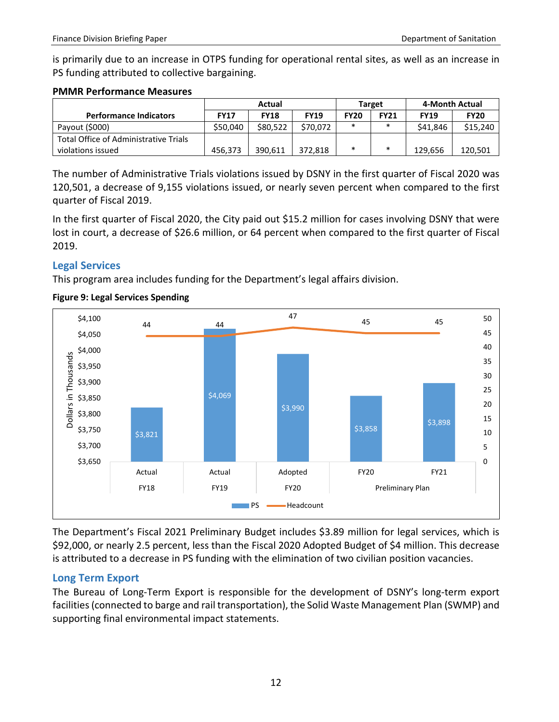is primarily due to an increase in OTPS funding for operational rental sites, as well as an increase in PS funding attributed to collective bargaining.

#### **PMMR Performance Measures**

|                                       | Actual      |             |             | <b>Target</b> |             | 4-Month Actual |             |
|---------------------------------------|-------------|-------------|-------------|---------------|-------------|----------------|-------------|
| <b>Performance Indicators</b>         | <b>FY17</b> | <b>FY18</b> | <b>FY19</b> | <b>FY20</b>   | <b>FY21</b> | <b>FY19</b>    | <b>FY20</b> |
| Payout (\$000)                        | \$50.040    | \$80.522    | \$70.072    | $\ast$        | $\ast$      | \$41,846       | \$15,240    |
| Total Office of Administrative Trials |             |             |             |               |             |                |             |
| violations issued                     | 456.373     | 390.611     | 372.818     | $\ast$        | *           | 129.656        | 120.501     |

The number of Administrative Trials violations issued by DSNY in the first quarter of Fiscal 2020 was 120,501, a decrease of 9,155 violations issued, or nearly seven percent when compared to the first quarter of Fiscal 2019.

In the first quarter of Fiscal 2020, the City paid out \$15.2 million for cases involving DSNY that were lost in court, a decrease of \$26.6 million, or 64 percent when compared to the first quarter of Fiscal 2019.

# <span id="page-14-0"></span>**Legal Services**

This program area includes funding for the Department's legal affairs division.



# **Figure 9: Legal Services Spending**

The Department's Fiscal 2021 Preliminary Budget includes \$3.89 million for legal services, which is \$92,000, or nearly 2.5 percent, less than the Fiscal 2020 Adopted Budget of \$4 million. This decrease is attributed to a decrease in PS funding with the elimination of two civilian position vacancies.

# <span id="page-14-1"></span>**Long Term Export**

The Bureau of Long-Term Export is responsible for the development of DSNY's long-term export facilities (connected to barge and rail transportation), the Solid Waste Management Plan (SWMP) and supporting final environmental impact statements.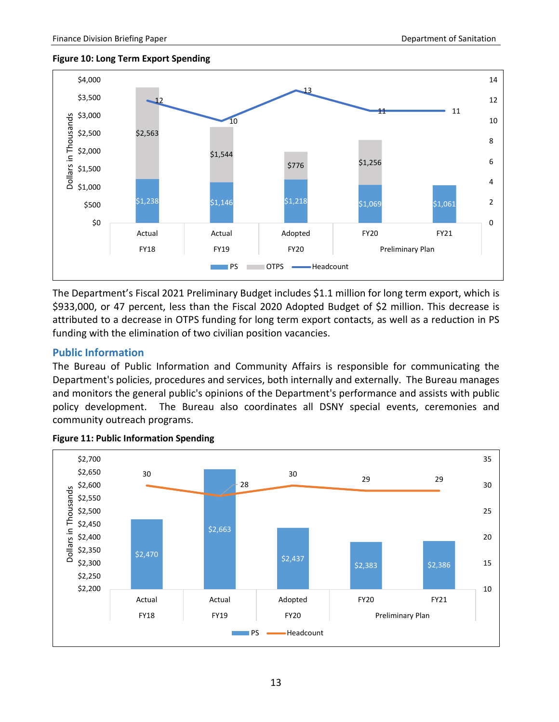#### **Figure 10: Long Term Export Spending**



The Department's Fiscal 2021 Preliminary Budget includes \$1.1 million for long term export, which is \$933,000, or 47 percent, less than the Fiscal 2020 Adopted Budget of \$2 million. This decrease is attributed to a decrease in OTPS funding for long term export contacts, as well as a reduction in PS funding with the elimination of two civilian position vacancies.

### <span id="page-15-0"></span>**Public Information**

The Bureau of Public Information and Community Affairs is responsible for communicating the Department's policies, procedures and services, both internally and externally. The Bureau manages and monitors the general public's opinions of the Department's performance and assists with public policy development. The Bureau also coordinates all DSNY special events, ceremonies and community outreach programs.



#### **Figure 11: Public Information Spending**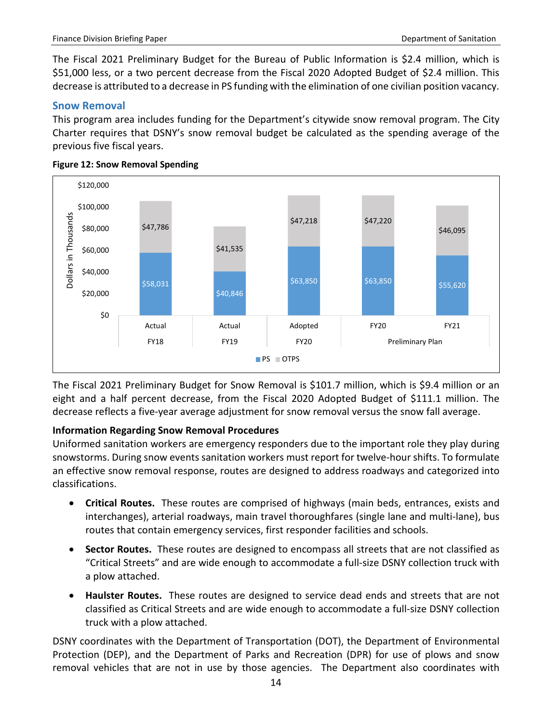The Fiscal 2021 Preliminary Budget for the Bureau of Public Information is \$2.4 million, which is \$51,000 less, or a two percent decrease from the Fiscal 2020 Adopted Budget of \$2.4 million. This decrease is attributed to a decrease in PS funding with the elimination of one civilian position vacancy.

#### <span id="page-16-0"></span>**Snow Removal**

This program area includes funding for the Department's citywide snow removal program. The City Charter requires that DSNY's snow removal budget be calculated as the spending average of the previous five fiscal years.



#### **Figure 12: Snow Removal Spending**

The Fiscal 2021 Preliminary Budget for Snow Removal is \$101.7 million, which is \$9.4 million or an eight and a half percent decrease, from the Fiscal 2020 Adopted Budget of \$111.1 million. The decrease reflects a five-year average adjustment for snow removal versus the snow fall average.

#### **Information Regarding Snow Removal Procedures**

Uniformed sanitation workers are emergency responders due to the important role they play during snowstorms. During snow events sanitation workers must report for twelve-hour shifts. To formulate an effective snow removal response, routes are designed to address roadways and categorized into classifications.

- **Critical Routes.** These routes are comprised of highways (main beds, entrances, exists and interchanges), arterial roadways, main travel thoroughfares (single lane and multi-lane), bus routes that contain emergency services, first responder facilities and schools.
- **Sector Routes.** These routes are designed to encompass all streets that are not classified as "Critical Streets" and are wide enough to accommodate a full-size DSNY collection truck with a plow attached.
- **Haulster Routes.** These routes are designed to service dead ends and streets that are not classified as Critical Streets and are wide enough to accommodate a full-size DSNY collection truck with a plow attached.

DSNY coordinates with the Department of Transportation (DOT), the Department of Environmental Protection (DEP), and the Department of Parks and Recreation (DPR) for use of plows and snow removal vehicles that are not in use by those agencies. The Department also coordinates with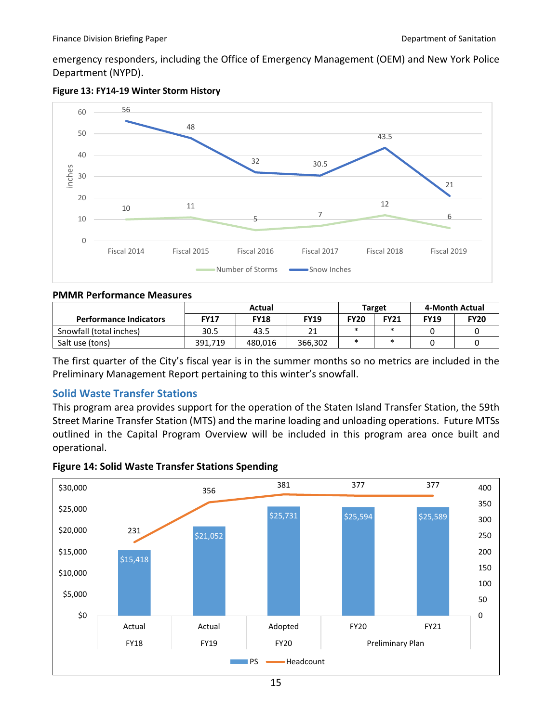emergency responders, including the Office of Emergency Management (OEM) and New York Police Department (NYPD).





#### **PMMR Performance Measures**

|                               |             |             | Target      | 4-Month Actual |             |             |             |
|-------------------------------|-------------|-------------|-------------|----------------|-------------|-------------|-------------|
| <b>Performance Indicators</b> | <b>FY17</b> | <b>FY18</b> | <b>FY19</b> | <b>FY20</b>    | <b>FY21</b> | <b>FY19</b> | <b>FY20</b> |
| Snowfall (total inches)       | 30.5        | 43.5        | 21          |                |             |             |             |
| Salt use (tons)               | 391.719     | 480.016     | 366.302     |                |             |             |             |

The first quarter of the City's fiscal year is in the summer months so no metrics are included in the Preliminary Management Report pertaining to this winter's snowfall.

#### <span id="page-17-0"></span>**Solid Waste Transfer Stations**

This program area provides support for the operation of the Staten Island Transfer Station, the 59th Street Marine Transfer Station (MTS) and the marine loading and unloading operations. Future MTSs outlined in the Capital Program Overview will be included in this program area once built and operational.



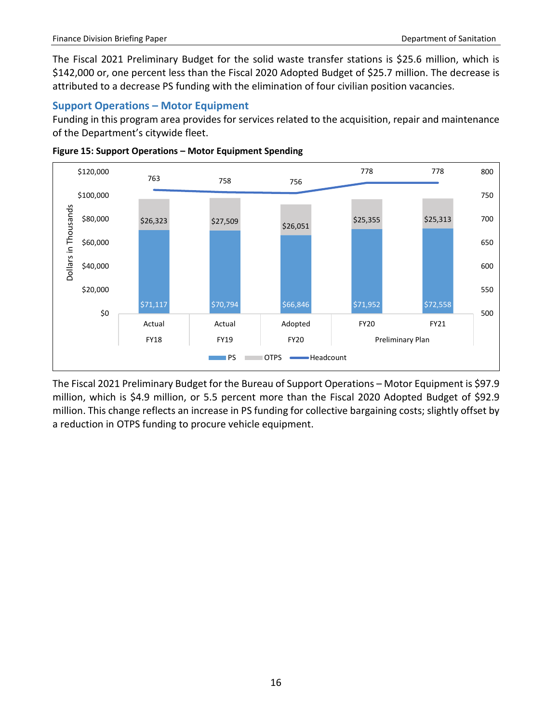The Fiscal 2021 Preliminary Budget for the solid waste transfer stations is \$25.6 million, which is \$142,000 or, one percent less than the Fiscal 2020 Adopted Budget of \$25.7 million. The decrease is attributed to a decrease PS funding with the elimination of four civilian position vacancies.

# <span id="page-18-0"></span>**Support Operations – Motor Equipment**

Funding in this program area provides for services related to the acquisition, repair and maintenance of the Department's citywide fleet.





The Fiscal 2021 Preliminary Budget for the Bureau of Support Operations – Motor Equipment is \$97.9 million, which is \$4.9 million, or 5.5 percent more than the Fiscal 2020 Adopted Budget of \$92.9 million. This change reflects an increase in PS funding for collective bargaining costs; slightly offset by a reduction in OTPS funding to procure vehicle equipment.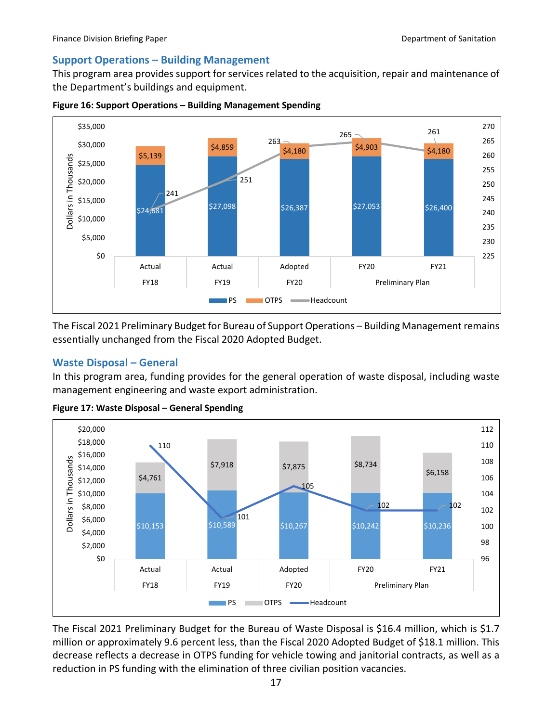# <span id="page-19-0"></span>**Support Operations – Building Management**

This program area provides support for services related to the acquisition, repair and maintenance of the Department's buildings and equipment.



**Figure 16: Support Operations – Building Management Spending** 

The Fiscal 2021 Preliminary Budget for Bureau of Support Operations – Building Management remains essentially unchanged from the Fiscal 2020 Adopted Budget.

### <span id="page-19-1"></span>**Waste Disposal – General**

In this program area, funding provides for the general operation of waste disposal, including waste management engineering and waste export administration.



**Figure 17: Waste Disposal – General Spending** 

The Fiscal 2021 Preliminary Budget for the Bureau of Waste Disposal is \$16.4 million, which is \$1.7 million or approximately 9.6 percent less, than the Fiscal 2020 Adopted Budget of \$18.1 million. This decrease reflects a decrease in OTPS funding for vehicle towing and janitorial contracts, as well as a reduction in PS funding with the elimination of three civilian position vacancies.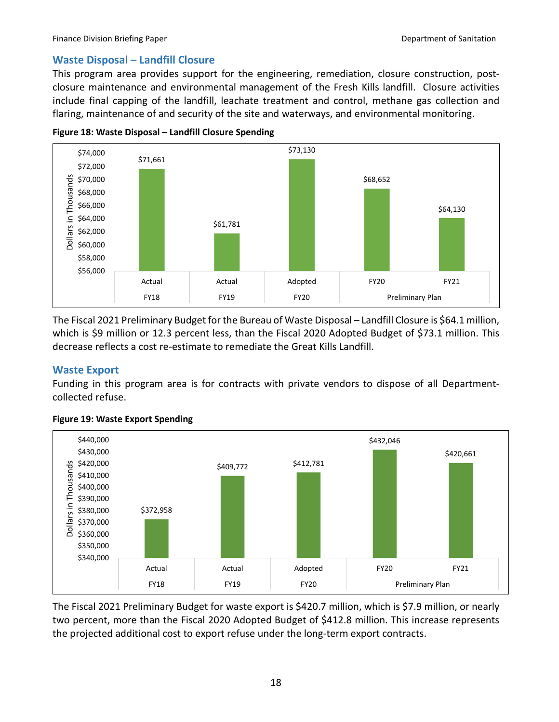#### <span id="page-20-0"></span>**Waste Disposal – Landfill Closure**

This program area provides support for the engineering, remediation, closure construction, postclosure maintenance and environmental management of the Fresh Kills landfill. Closure activities include final capping of the landfill, leachate treatment and control, methane gas collection and flaring, maintenance of and security of the site and waterways, and environmental monitoring.





The Fiscal 2021 Preliminary Budget for the Bureau of Waste Disposal - Landfill Closure is \$64.1 million, which is \$9 million or 12.3 percent less, than the Fiscal 2020 Adopted Budget of \$73.1 million. This decrease reflects a cost re-estimate to remediate the Great Kills Landfill.

#### <span id="page-20-1"></span>**Waste Export**

Funding in this program area is for contracts with private vendors to dispose of all Departmentcollected refuse.



#### **Figure 19: Waste Export Spending**

The Fiscal 2021 Preliminary Budget for waste export is \$420.7 million, which is \$7.9 million, or nearly two percent, more than the Fiscal 2020 Adopted Budget of \$412.8 million. This increase represents the projected additional cost to export refuse under the long-term export contracts.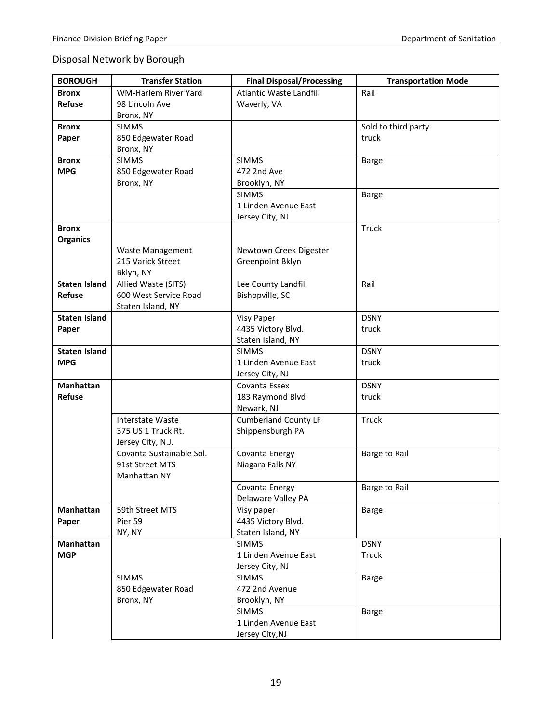# Disposal Network by Borough

| <b>BOROUGH</b>       | <b>Transfer Station</b>        | <b>Final Disposal/Processing</b>  | <b>Transportation Mode</b> |
|----------------------|--------------------------------|-----------------------------------|----------------------------|
| <b>Bronx</b>         | WM-Harlem River Yard           | Atlantic Waste Landfill           | Rail                       |
| Refuse               | 98 Lincoln Ave                 | Waverly, VA                       |                            |
|                      | Bronx, NY                      |                                   |                            |
| <b>Bronx</b>         | <b>SIMMS</b>                   |                                   | Sold to third party        |
| Paper                | 850 Edgewater Road             |                                   | truck                      |
|                      | Bronx, NY                      |                                   |                            |
| <b>Bronx</b>         | <b>SIMMS</b>                   | <b>SIMMS</b>                      | <b>Barge</b>               |
| <b>MPG</b>           | 850 Edgewater Road             | 472 2nd Ave                       |                            |
|                      | Bronx, NY                      | Brooklyn, NY                      |                            |
|                      |                                | <b>SIMMS</b>                      | <b>Barge</b>               |
|                      |                                | 1 Linden Avenue East              |                            |
|                      |                                | Jersey City, NJ                   |                            |
| <b>Bronx</b>         |                                |                                   | <b>Truck</b>               |
| <b>Organics</b>      |                                |                                   |                            |
|                      | <b>Waste Management</b>        | Newtown Creek Digester            |                            |
|                      | 215 Varick Street<br>Bklyn, NY | Greenpoint Bklyn                  |                            |
| <b>Staten Island</b> | Allied Waste (SITS)            | Lee County Landfill               | Rail                       |
| Refuse               | 600 West Service Road          | Bishopville, SC                   |                            |
|                      | Staten Island, NY              |                                   |                            |
| <b>Staten Island</b> |                                | <b>Visy Paper</b>                 | <b>DSNY</b>                |
| Paper                |                                | 4435 Victory Blvd.                | truck                      |
|                      |                                | Staten Island, NY                 |                            |
| <b>Staten Island</b> |                                | <b>SIMMS</b>                      | <b>DSNY</b>                |
| <b>MPG</b>           |                                | 1 Linden Avenue East              | truck                      |
|                      |                                | Jersey City, NJ                   |                            |
| <b>Manhattan</b>     |                                | Covanta Essex                     | <b>DSNY</b>                |
| Refuse               |                                | 183 Raymond Blvd                  | truck                      |
|                      |                                | Newark, NJ                        |                            |
|                      | <b>Interstate Waste</b>        | <b>Cumberland County LF</b>       | <b>Truck</b>               |
|                      | 375 US 1 Truck Rt.             | Shippensburgh PA                  |                            |
|                      | Jersey City, N.J.              |                                   |                            |
|                      | Covanta Sustainable Sol.       | Covanta Energy                    | Barge to Rail              |
|                      | 91st Street MTS                | Niagara Falls NY                  |                            |
|                      | Manhattan NY                   |                                   |                            |
|                      |                                | Covanta Energy                    | Barge to Rail              |
|                      |                                | Delaware Valley PA                |                            |
| Manhattan            | 59th Street MTS                | Visy paper                        | <b>Barge</b>               |
| Paper                | Pier 59                        | 4435 Victory Blvd.                |                            |
| Manhattan            | NY, NY                         | Staten Island, NY<br><b>SIMMS</b> | <b>DSNY</b>                |
| <b>MGP</b>           |                                | 1 Linden Avenue East              | Truck                      |
|                      |                                | Jersey City, NJ                   |                            |
|                      | <b>SIMMS</b>                   | <b>SIMMS</b>                      | <b>Barge</b>               |
|                      | 850 Edgewater Road             | 472 2nd Avenue                    |                            |
|                      | Bronx, NY                      | Brooklyn, NY                      |                            |
|                      |                                | <b>SIMMS</b>                      | <b>Barge</b>               |
|                      |                                | 1 Linden Avenue East              |                            |
|                      |                                | Jersey City, NJ                   |                            |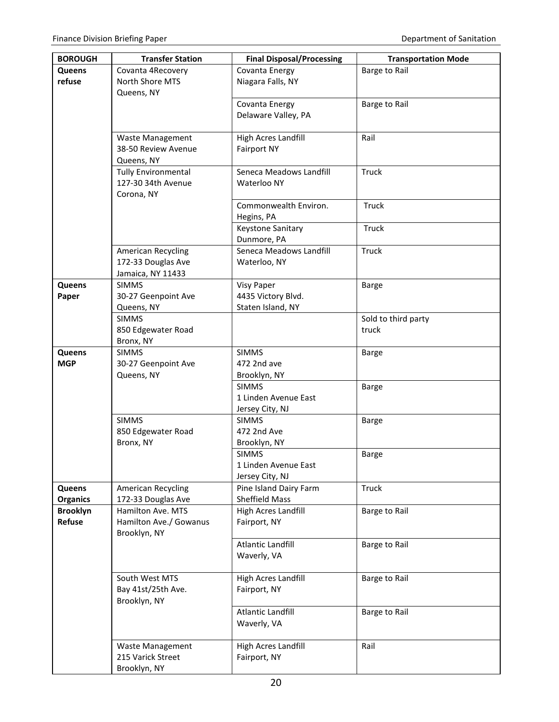| <b>BOROUGH</b>  | <b>Transfer Station</b>           | <b>Final Disposal/Processing</b>        | <b>Transportation Mode</b> |
|-----------------|-----------------------------------|-----------------------------------------|----------------------------|
| <b>Queens</b>   | Covanta 4Recovery                 | Covanta Energy                          | Barge to Rail              |
| refuse          | North Shore MTS                   | Niagara Falls, NY                       |                            |
|                 | Queens, NY                        |                                         |                            |
|                 |                                   | Covanta Energy                          | Barge to Rail              |
|                 |                                   | Delaware Valley, PA                     |                            |
|                 | <b>Waste Management</b>           | High Acres Landfill                     | Rail                       |
|                 | 38-50 Review Avenue               | <b>Fairport NY</b>                      |                            |
|                 | Queens, NY                        |                                         |                            |
|                 | <b>Tully Environmental</b>        | Seneca Meadows Landfill                 | Truck                      |
|                 | 127-30 34th Avenue                | Waterloo NY                             |                            |
|                 | Corona, NY                        |                                         |                            |
|                 |                                   | Commonwealth Environ.                   | Truck                      |
|                 |                                   | Hegins, PA                              |                            |
|                 |                                   | Keystone Sanitary                       | Truck                      |
|                 |                                   | Dunmore, PA                             |                            |
|                 | American Recycling                | Seneca Meadows Landfill                 | Truck                      |
|                 | 172-33 Douglas Ave                | Waterloo, NY                            |                            |
|                 | Jamaica, NY 11433                 |                                         |                            |
| <b>Queens</b>   | <b>SIMMS</b>                      | <b>Visy Paper</b><br>4435 Victory Blvd. | <b>Barge</b>               |
| Paper           | 30-27 Geenpoint Ave<br>Queens, NY | Staten Island, NY                       |                            |
|                 | <b>SIMMS</b>                      |                                         | Sold to third party        |
|                 | 850 Edgewater Road                |                                         | truck                      |
|                 | Bronx, NY                         |                                         |                            |
| <b>Queens</b>   | <b>SIMMS</b>                      | <b>SIMMS</b>                            | <b>Barge</b>               |
| <b>MGP</b>      | 30-27 Geenpoint Ave               | 472 2nd ave                             |                            |
|                 | Queens, NY                        | Brooklyn, NY                            |                            |
|                 |                                   | <b>SIMMS</b>                            | <b>Barge</b>               |
|                 |                                   | 1 Linden Avenue East                    |                            |
|                 |                                   | Jersey City, NJ                         |                            |
|                 | <b>SIMMS</b>                      | <b>SIMMS</b>                            | <b>Barge</b>               |
|                 | 850 Edgewater Road                | 472 2nd Ave                             |                            |
|                 | Bronx, NY                         | Brooklyn, NY                            |                            |
|                 |                                   | <b>SIMMS</b><br>1 Linden Avenue East    | <b>Barge</b>               |
|                 |                                   | Jersey City, NJ                         |                            |
| Queens          | American Recycling                | Pine Island Dairy Farm                  | Truck                      |
| <b>Organics</b> | 172-33 Douglas Ave                | Sheffield Mass                          |                            |
| <b>Brooklyn</b> | Hamilton Ave. MTS                 | High Acres Landfill                     | Barge to Rail              |
| Refuse          | Hamilton Ave./ Gowanus            | Fairport, NY                            |                            |
|                 | Brooklyn, NY                      |                                         |                            |
|                 |                                   | Atlantic Landfill                       | Barge to Rail              |
|                 |                                   | Waverly, VA                             |                            |
|                 |                                   |                                         |                            |
|                 | South West MTS                    | High Acres Landfill                     | Barge to Rail              |
|                 | Bay 41st/25th Ave.                | Fairport, NY                            |                            |
|                 | Brooklyn, NY                      |                                         |                            |
|                 |                                   | Atlantic Landfill<br>Waverly, VA        | Barge to Rail              |
|                 |                                   |                                         |                            |
|                 | Waste Management                  | <b>High Acres Landfill</b>              | Rail                       |
|                 | 215 Varick Street                 | Fairport, NY                            |                            |
|                 | Brooklyn, NY                      |                                         |                            |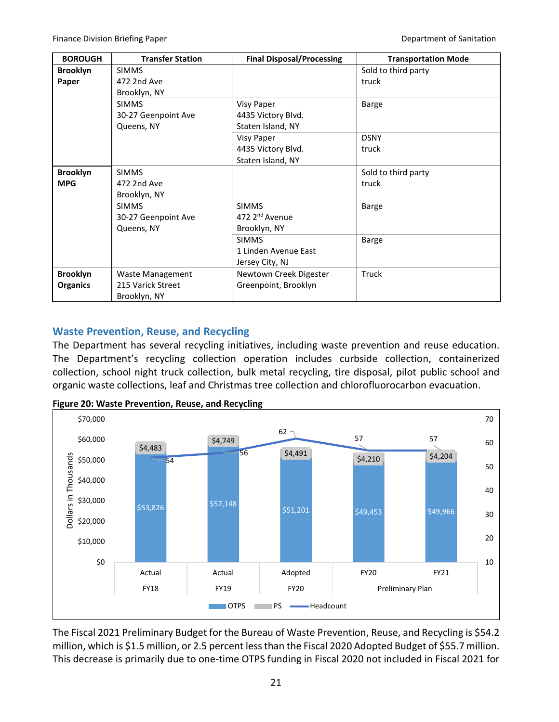| <b>BOROUGH</b>  | <b>Transfer Station</b> | <b>Final Disposal/Processing</b> | <b>Transportation Mode</b> |
|-----------------|-------------------------|----------------------------------|----------------------------|
| <b>Brooklyn</b> | <b>SIMMS</b>            |                                  | Sold to third party        |
| Paper           | 472 2nd Ave             |                                  | truck                      |
|                 | Brooklyn, NY            |                                  |                            |
|                 | <b>SIMMS</b>            | <b>Visy Paper</b>                | <b>Barge</b>               |
|                 | 30-27 Geenpoint Ave     | 4435 Victory Blvd.               |                            |
|                 | Queens, NY              | Staten Island, NY                |                            |
|                 |                         | <b>Visy Paper</b>                | <b>DSNY</b>                |
|                 |                         | 4435 Victory Blvd.               | truck                      |
|                 |                         | Staten Island, NY                |                            |
| <b>Brooklyn</b> | <b>SIMMS</b>            |                                  | Sold to third party        |
| <b>MPG</b>      | 472 2nd Ave             |                                  | truck                      |
|                 | Brooklyn, NY            |                                  |                            |
|                 | <b>SIMMS</b>            | <b>SIMMS</b>                     | <b>Barge</b>               |
|                 | 30-27 Geenpoint Ave     | 472 2 <sup>nd</sup> Avenue       |                            |
|                 | Queens, NY              | Brooklyn, NY                     |                            |
|                 |                         | <b>SIMMS</b>                     | <b>Barge</b>               |
|                 |                         | 1 Linden Avenue East             |                            |
|                 |                         | Jersey City, NJ                  |                            |
| <b>Brooklyn</b> | Waste Management        | Newtown Creek Digester           | Truck                      |
| <b>Organics</b> | 215 Varick Street       | Greenpoint, Brooklyn             |                            |
|                 | Brooklyn, NY            |                                  |                            |

# <span id="page-23-0"></span>**Waste Prevention, Reuse, and Recycling**

The Department has several recycling initiatives, including waste prevention and reuse education. The Department's recycling collection operation includes curbside collection, containerized collection, school night truck collection, bulk metal recycling, tire disposal, pilot public school and organic waste collections, leaf and Christmas tree collection and chlorofluorocarbon evacuation.



**Figure 20: Waste Prevention, Reuse, and Recycling** 

The Fiscal 2021 Preliminary Budget for the Bureau of Waste Prevention, Reuse, and Recycling is \$54.2 million, which is \$1.5 million, or 2.5 percent less than the Fiscal 2020 Adopted Budget of \$55.7 million. This decrease is primarily due to one-time OTPS funding in Fiscal 2020 not included in Fiscal 2021 for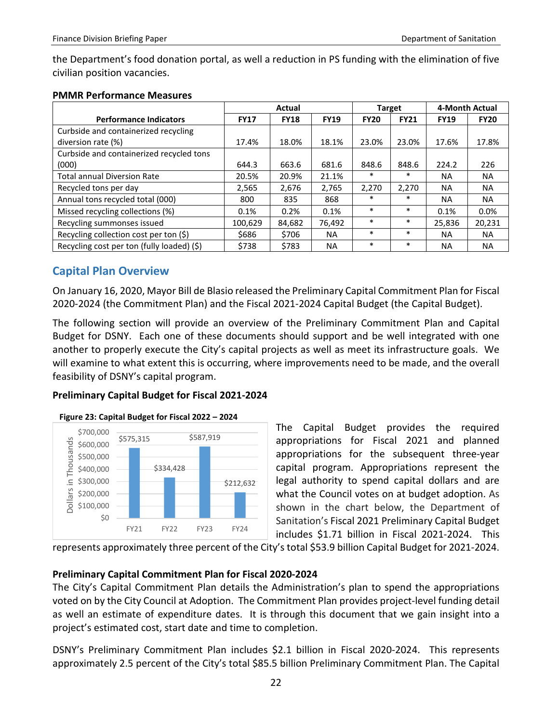the Department's food donation portal, as well a reduction in PS funding with the elimination of five civilian position vacancies.

|                                            | Actual      |             |             | <b>Target</b> |             | 4-Month Actual |             |
|--------------------------------------------|-------------|-------------|-------------|---------------|-------------|----------------|-------------|
| <b>Performance Indicators</b>              | <b>FY17</b> | <b>FY18</b> | <b>FY19</b> | <b>FY20</b>   | <b>FY21</b> | <b>FY19</b>    | <b>FY20</b> |
| Curbside and containerized recycling       |             |             |             |               |             |                |             |
| diversion rate (%)                         | 17.4%       | 18.0%       | 18.1%       | 23.0%         | 23.0%       | 17.6%          | 17.8%       |
| Curbside and containerized recycled tons   |             |             |             |               |             |                |             |
| (000)                                      | 644.3       | 663.6       | 681.6       | 848.6         | 848.6       | 224.2          | 226         |
| <b>Total annual Diversion Rate</b>         | 20.5%       | 20.9%       | 21.1%       | $\ast$        | $\ast$      | NA             | <b>NA</b>   |
| Recycled tons per day                      | 2,565       | 2,676       | 2,765       | 2,270         | 2,270       | <b>NA</b>      | <b>NA</b>   |
| Annual tons recycled total (000)           | 800         | 835         | 868         | $\ast$        | $\ast$      | NA             | <b>NA</b>   |
| Missed recycling collections (%)           | 0.1%        | 0.2%        | 0.1%        | $\ast$        | *           | 0.1%           | 0.0%        |
| Recycling summonses issued                 | 100,629     | 84.682      | 76,492      | $\ast$        | $\ast$      | 25.836         | 20,231      |
| Recycling collection cost per ton (\$)     | \$686       | \$706       | NA.         | $\ast$        | $\ast$      | <b>NA</b>      | <b>NA</b>   |
| Recycling cost per ton (fully loaded) (\$) | \$738       | \$783       | <b>NA</b>   | $\ast$        | $\ast$      | NA             | NA          |

# <span id="page-24-0"></span>**Capital Plan Overview**

On January 16, 2020, Mayor Bill de Blasio released the Preliminary Capital Commitment Plan for Fiscal 2020-2024 (the Commitment Plan) and the Fiscal 2021-2024 Capital Budget (the Capital Budget).

The following section will provide an overview of the Preliminary Commitment Plan and Capital Budget for DSNY. Each one of these documents should support and be well integrated with one another to properly execute the City's capital projects as well as meet its infrastructure goals. We will examine to what extent this is occurring, where improvements need to be made, and the overall feasibility of DSNY's capital program.

# **Preliminary Capital Budget for Fiscal 2021-2024**



**Figure 23: Capital Budget for Fiscal 2022 – 2024**

The Capital Budget provides the required appropriations for Fiscal 2021 and planned appropriations for the subsequent three-year capital program. Appropriations represent the legal authority to spend capital dollars and are what the Council votes on at budget adoption. As shown in the chart below, the Department of Sanitation's Fiscal 2021 Preliminary Capital Budget includes \$1.71 billion in Fiscal 2021-2024. This

represents approximately three percent of the City's total \$53.9 billion Capital Budget for 2021-2024.

# **Preliminary Capital Commitment Plan for Fiscal 2020-2024**

The City's Capital Commitment Plan details the Administration's plan to spend the appropriations voted on by the City Council at Adoption. The Commitment Plan provides project-level funding detail as well an estimate of expenditure dates. It is through this document that we gain insight into a project's estimated cost, start date and time to completion.

DSNY's Preliminary Commitment Plan includes \$2.1 billion in Fiscal 2020-2024. This represents approximately 2.5 percent of the City's total \$85.5 billion Preliminary Commitment Plan. The Capital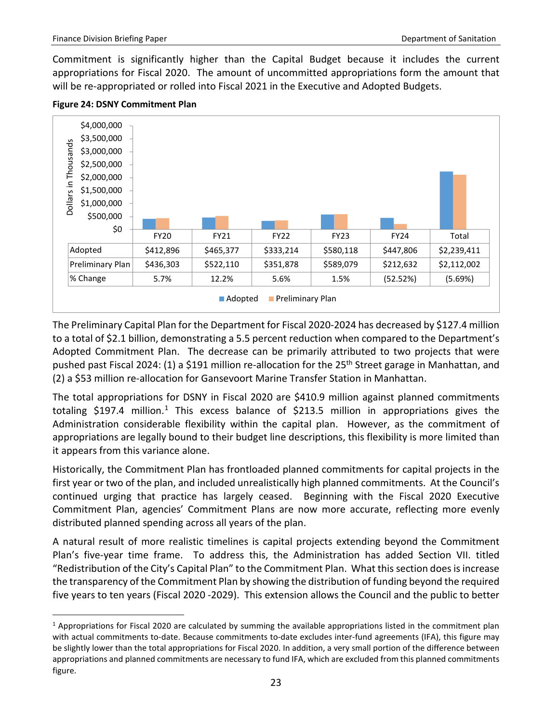Commitment is significantly higher than the Capital Budget because it includes the current appropriations for Fiscal 2020. The amount of uncommitted appropriations form the amount that will be re-appropriated or rolled into Fiscal 2021 in the Executive and Adopted Budgets.



#### **Figure 24: DSNY Commitment Plan**

The Preliminary Capital Plan for the Department for Fiscal 2020-2024 has decreased by \$127.4 million to a total of \$2.1 billion, demonstrating a 5.5 percent reduction when compared to the Department's Adopted Commitment Plan. The decrease can be primarily attributed to two projects that were pushed past Fiscal 2024: (1) a \$191 million re-allocation for the 25<sup>th</sup> Street garage in Manhattan, and (2) a \$53 million re-allocation for Gansevoort Marine Transfer Station in Manhattan.

The total appropriations for DSNY in Fiscal 2020 are \$410.9 million against planned commitments totaling \$[1](#page-25-0)97.4 million.<sup>1</sup> This excess balance of \$213.5 million in appropriations gives the Administration considerable flexibility within the capital plan. However, as the commitment of appropriations are legally bound to their budget line descriptions, this flexibility is more limited than it appears from this variance alone.

Historically, the Commitment Plan has frontloaded planned commitments for capital projects in the first year or two of the plan, and included unrealistically high planned commitments. At the Council's continued urging that practice has largely ceased. Beginning with the Fiscal 2020 Executive Commitment Plan, agencies' Commitment Plans are now more accurate, reflecting more evenly distributed planned spending across all years of the plan.

A natural result of more realistic timelines is capital projects extending beyond the Commitment Plan's five-year time frame. To address this, the Administration has added Section VII. titled "Redistribution of the City's Capital Plan" to the Commitment Plan. What this section does is increase the transparency of the Commitment Plan by showing the distribution of funding beyond the required five years to ten years (Fiscal 2020 -2029). This extension allows the Council and the public to better

<span id="page-25-0"></span> $1$  Appropriations for Fiscal 2020 are calculated by summing the available appropriations listed in the commitment plan with actual commitments to-date. Because commitments to-date excludes inter-fund agreements (IFA), this figure may be slightly lower than the total appropriations for Fiscal 2020. In addition, a very small portion of the difference between appropriations and planned commitments are necessary to fund IFA, which are excluded from this planned commitments figure.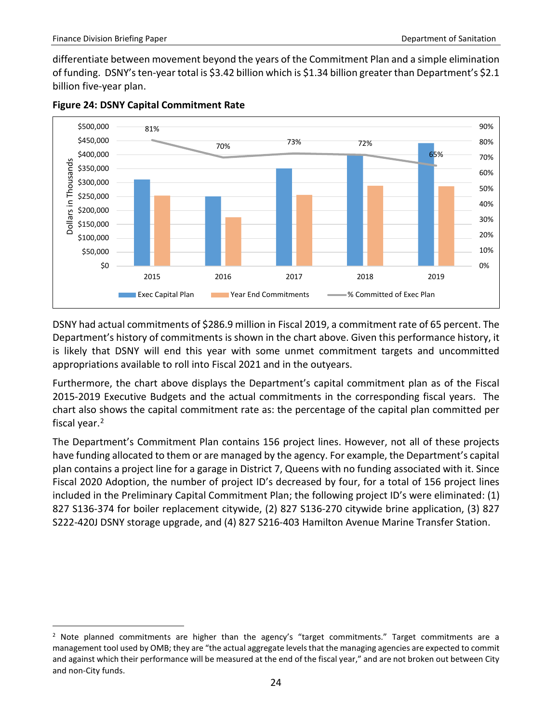differentiate between movement beyond the years of the Commitment Plan and a simple elimination of funding. DSNY's ten-year total is \$3.42 billion which is \$1.34 billion greater than Department's \$2.1 billion five-year plan.





DSNY had actual commitments of \$286.9 million in Fiscal 2019, a commitment rate of 65 percent. The Department's history of commitments is shown in the chart above. Given this performance history, it is likely that DSNY will end this year with some unmet commitment targets and uncommitted appropriations available to roll into Fiscal 2021 and in the outyears.

Furthermore, the chart above displays the Department's capital commitment plan as of the Fiscal 2015-2019 Executive Budgets and the actual commitments in the corresponding fiscal years. The chart also shows the capital commitment rate as: the percentage of the capital plan committed per fiscal year.<sup>[2](#page-26-0)</sup>

The Department's Commitment Plan contains 156 project lines. However, not all of these projects have funding allocated to them or are managed by the agency. For example, the Department's capital plan contains a project line for a garage in District 7, Queens with no funding associated with it. Since Fiscal 2020 Adoption, the number of project ID's decreased by four, for a total of 156 project lines included in the Preliminary Capital Commitment Plan; the following project ID's were eliminated: (1) 827 S136-374 for boiler replacement citywide, (2) 827 S136-270 citywide brine application, (3) 827 S222-420J DSNY storage upgrade, and (4) 827 S216-403 Hamilton Avenue Marine Transfer Station.

<span id="page-26-0"></span> $2$  Note planned commitments are higher than the agency's "target commitments." Target commitments are a management tool used by OMB; they are "the actual aggregate levels that the managing agencies are expected to commit and against which their performance will be measured at the end of the fiscal year," and are not broken out between City and non-City funds.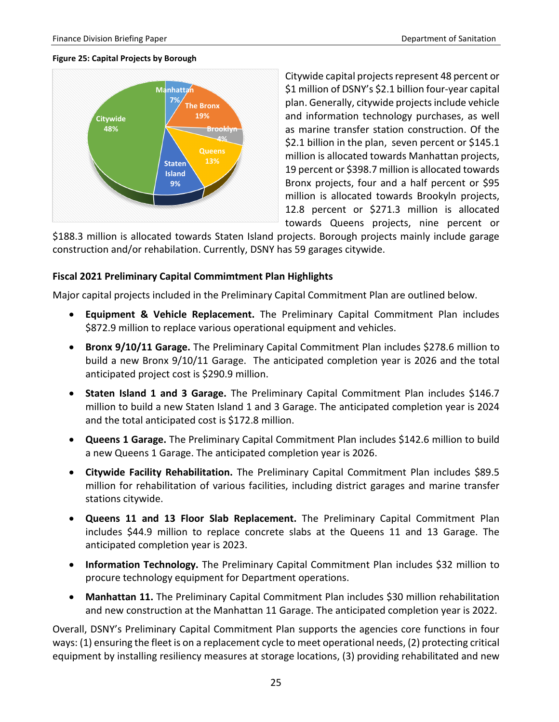#### **Figure 25: Capital Projects by Borough**



Citywide capital projects represent 48 percent or \$1 million of DSNY's \$2.1 billion four-year capital plan. Generally, citywide projects include vehicle and information technology purchases, as well as marine transfer station construction. Of the \$2.1 billion in the plan, seven percent or \$145.1 million is allocated towards Manhattan projects, 19 percent or \$398.7 million is allocated towards Bronx projects, four and a half percent or \$95 million is allocated towards Brookyln projects, 12.8 percent or \$271.3 million is allocated towards Queens projects, nine percent or

\$188.3 million is allocated towards Staten Island projects. Borough projects mainly include garage construction and/or rehabilation. Currently, DSNY has 59 garages citywide.

#### **Fiscal 2021 Preliminary Capital Commimtment Plan Highlights**

Major capital projects included in the Preliminary Capital Commitment Plan are outlined below.

- **Equipment & Vehicle Replacement.** The Preliminary Capital Commitment Plan includes \$872.9 million to replace various operational equipment and vehicles.
- **Bronx 9/10/11 Garage.** The Preliminary Capital Commitment Plan includes \$278.6 million to build a new Bronx 9/10/11 Garage. The anticipated completion year is 2026 and the total anticipated project cost is \$290.9 million.
- **Staten Island 1 and 3 Garage.** The Preliminary Capital Commitment Plan includes \$146.7 million to build a new Staten Island 1 and 3 Garage. The anticipated completion year is 2024 and the total anticipated cost is \$172.8 million.
- **Queens 1 Garage.** The Preliminary Capital Commitment Plan includes \$142.6 million to build a new Queens 1 Garage. The anticipated completion year is 2026.
- **Citywide Facility Rehabilitation.** The Preliminary Capital Commitment Plan includes \$89.5 million for rehabilitation of various facilities, including district garages and marine transfer stations citywide.
- **Queens 11 and 13 Floor Slab Replacement.** The Preliminary Capital Commitment Plan includes \$44.9 million to replace concrete slabs at the Queens 11 and 13 Garage. The anticipated completion year is 2023.
- **Information Technology.** The Preliminary Capital Commitment Plan includes \$32 million to procure technology equipment for Department operations.
- Manhattan 11. The Preliminary Capital Commitment Plan includes \$30 million rehabilitation and new construction at the Manhattan 11 Garage. The anticipated completion year is 2022.

Overall, DSNY's Preliminary Capital Commitment Plan supports the agencies core functions in four ways: (1) ensuring the fleet is on a replacement cycle to meet operational needs, (2) protecting critical equipment by installing resiliency measures at storage locations, (3) providing rehabilitated and new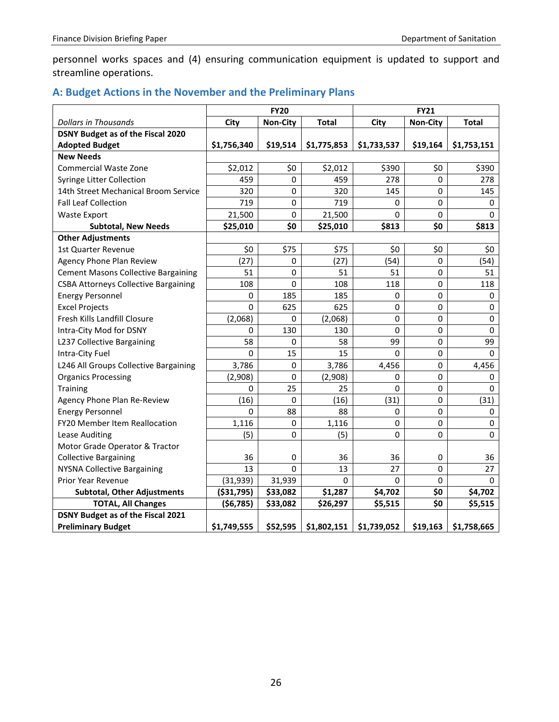personnel works spaces and (4) ensuring communication equipment is updated to support and streamline operations.

# <span id="page-28-0"></span>**A: Budget Actions in the November and the Preliminary Plans**

|                                             | <b>FY20</b> |                 |              | <b>FY21</b> |          |              |
|---------------------------------------------|-------------|-----------------|--------------|-------------|----------|--------------|
| <b>Dollars in Thousands</b>                 | City        | <b>Non-City</b> | <b>Total</b> | City        | Non-City | <b>Total</b> |
| <b>DSNY Budget as of the Fiscal 2020</b>    |             |                 |              |             |          |              |
| <b>Adopted Budget</b>                       | \$1,756,340 | \$19,514        | \$1,775,853  | \$1,733,537 | \$19,164 | \$1,753,151  |
| <b>New Needs</b>                            |             |                 |              |             |          |              |
| <b>Commercial Waste Zone</b>                | \$2,012     | \$0             | \$2,012      | \$390       | \$0      | \$390        |
| Syringe Litter Collection                   | 459         | 0               | 459          | 278         | 0        | 278          |
| 14th Street Mechanical Broom Service        | 320         | 0               | 320          | 145         | 0        | 145          |
| <b>Fall Leaf Collection</b>                 | 719         | 0               | 719          | 0           | 0        | 0            |
| <b>Waste Export</b>                         | 21,500      | 0               | 21,500       | 0           | 0        | 0            |
| <b>Subtotal, New Needs</b>                  | \$25,010    | \$0             | \$25,010     | \$813       | \$0      | \$813        |
| <b>Other Adjustments</b>                    |             |                 |              |             |          |              |
| 1st Quarter Revenue                         | \$0         | \$75            | \$75         | \$0         | \$0      | \$0          |
| Agency Phone Plan Review                    | (27)        | 0               | (27)         | (54)        | $\Omega$ | (54)         |
| <b>Cement Masons Collective Bargaining</b>  | 51          | $\pmb{0}$       | 51           | 51          | 0        | 51           |
| <b>CSBA Attorneys Collective Bargaining</b> | 108         | $\pmb{0}$       | 108          | 118         | 0        | 118          |
| <b>Energy Personnel</b>                     | 0           | 185             | 185          | 0           | 0        | 0            |
| <b>Excel Projects</b>                       | 0           | 625             | 625          | 0           | 0        | 0            |
| Fresh Kills Landfill Closure                | (2,068)     | 0               | (2,068)      | 0           | 0        | 0            |
| Intra-City Mod for DSNY                     | 0           | 130             | 130          | 0           | 0        | 0            |
| L237 Collective Bargaining                  | 58          | 0               | 58           | 99          | 0        | 99           |
| Intra-City Fuel                             | 0           | 15              | 15           | $\Omega$    | 0        | 0            |
| L246 All Groups Collective Bargaining       | 3,786       | 0               | 3,786        | 4,456       | 0        | 4,456        |
| <b>Organics Processing</b>                  | (2,908)     | $\mathbf 0$     | (2,908)      | 0           | 0        | 0            |
| Training                                    | 0           | 25              | 25           | 0           | 0        | 0            |
| Agency Phone Plan Re-Review                 | (16)        | $\mathbf 0$     | (16)         | (31)        | 0        | (31)         |
| <b>Energy Personnel</b>                     | 0           | 88              | 88           | 0           | 0        | 0            |
| FY20 Member Item Reallocation               | 1,116       | 0               | 1,116        | 0           | 0        | 0            |
| Lease Auditing                              | (5)         | $\mathbf 0$     | (5)          | 0           | 0        | 0            |
| Motor Grade Operator & Tractor              |             |                 |              |             |          |              |
| <b>Collective Bargaining</b>                | 36          | 0               | 36           | 36          | 0        | 36           |
| <b>NYSNA Collective Bargaining</b>          | 13          | $\mathbf 0$     | 13           | 27          | 0        | 27           |
| Prior Year Revenue                          | (31, 939)   | 31,939          | 0            | 0           | 0        | 0            |
| <b>Subtotal, Other Adjustments</b>          | ( \$31,795) | \$33,082        | \$1,287      | \$4,702     | \$0      | \$4,702      |
| <b>TOTAL, All Changes</b>                   | (56, 785)   | \$33,082        | \$26,297     | \$5,515     | \$0      | \$5,515      |
| <b>DSNY Budget as of the Fiscal 2021</b>    |             |                 |              |             |          |              |
| <b>Preliminary Budget</b>                   | \$1,749,555 | \$52,595        | \$1,802,151  | \$1,739,052 | \$19,163 | \$1,758,665  |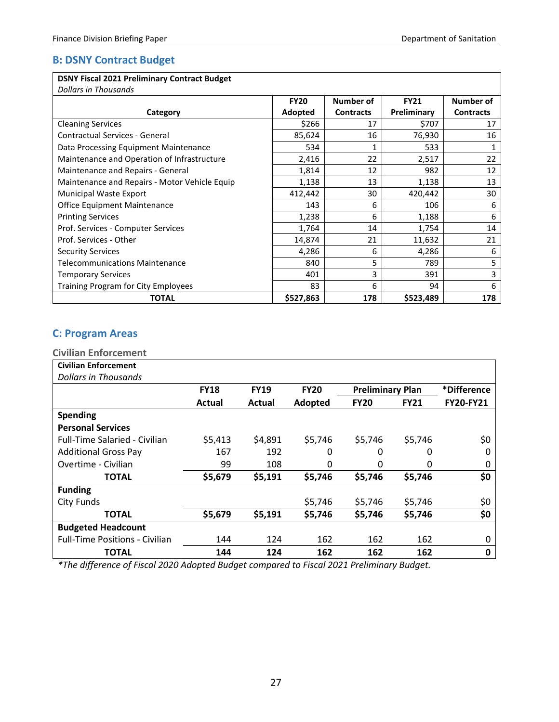# <span id="page-29-0"></span>**B: DSNY Contract Budget**

### **DSNY Fiscal 2021 Preliminary Contract Budget**

*Dollars in Thousands*

| DUNUI JIII THUUSUHUS                          |             |                  |             |                  |
|-----------------------------------------------|-------------|------------------|-------------|------------------|
|                                               | <b>FY20</b> | Number of        | <b>FY21</b> | Number of        |
| Category                                      | Adopted     | <b>Contracts</b> | Preliminary | <b>Contracts</b> |
| <b>Cleaning Services</b>                      | \$266       | 17               | \$707       | 17               |
| Contractual Services - General                | 85,624      | 16               | 76,930      | 16               |
| Data Processing Equipment Maintenance         | 534         | 1                | 533         |                  |
| Maintenance and Operation of Infrastructure   | 2,416       | 22               | 2,517       | 22               |
| Maintenance and Repairs - General             | 1,814       | 12               | 982         | 12               |
| Maintenance and Repairs - Motor Vehicle Equip | 1,138       | 13               | 1,138       | 13               |
| Municipal Waste Export                        | 412,442     | 30               | 420,442     | 30               |
| <b>Office Equipment Maintenance</b>           | 143         | 6                | 106         | 6                |
| <b>Printing Services</b>                      | 1,238       | 6                | 1,188       | 6                |
| Prof. Services - Computer Services            | 1,764       | 14               | 1,754       | 14               |
| Prof. Services - Other                        | 14,874      | 21               | 11,632      | 21               |
| <b>Security Services</b>                      | 4,286       | 6                | 4,286       | 6                |
| Telecommunications Maintenance                | 840         | 5                | 789         | 5                |
| <b>Temporary Services</b>                     | 401         | 3                | 391         | 3                |
| Training Program for City Employees           | 83          | 6                | 94          | 6                |
| <b>TOTAL</b>                                  | \$527,863   | 178              | \$523,489   | 178              |

# <span id="page-29-1"></span>**C: Program Areas**

<span id="page-29-2"></span>

| <b>Civilian Enforcement</b>           |             |             |             |                         |             |                  |
|---------------------------------------|-------------|-------------|-------------|-------------------------|-------------|------------------|
| <b>Civilian Enforcement</b>           |             |             |             |                         |             |                  |
| Dollars in Thousands                  |             |             |             |                         |             |                  |
|                                       | <b>FY18</b> | <b>FY19</b> | <b>FY20</b> | <b>Preliminary Plan</b> |             | *Difference      |
|                                       | Actual      | Actual      | Adopted     | <b>FY20</b>             | <b>FY21</b> | <b>FY20-FY21</b> |
| <b>Spending</b>                       |             |             |             |                         |             |                  |
| <b>Personal Services</b>              |             |             |             |                         |             |                  |
| <b>Full-Time Salaried - Civilian</b>  | \$5,413     | \$4,891     | \$5,746     | \$5,746                 | \$5,746     | \$0              |
| <b>Additional Gross Pay</b>           | 167         | 192         | 0           | 0                       | 0           | 0                |
| Overtime - Civilian                   | 99          | 108         | 0           | O                       | 0           | 0                |
| <b>TOTAL</b>                          | \$5,679     | \$5,191     | \$5,746     | \$5,746                 | \$5,746     | \$0              |
| <b>Funding</b>                        |             |             |             |                         |             |                  |
| <b>City Funds</b>                     |             |             | \$5,746     | \$5,746                 | \$5,746     | \$0              |
| <b>TOTAL</b>                          | \$5,679     | \$5,191     | \$5,746     | \$5,746                 | \$5,746     | \$0              |
| <b>Budgeted Headcount</b>             |             |             |             |                         |             |                  |
| <b>Full-Time Positions - Civilian</b> | 144         | 124         | 162         | 162                     | 162         | 0                |
| <b>TOTAL</b>                          | 144         | 124         | 162         | 162                     | 162         | 0                |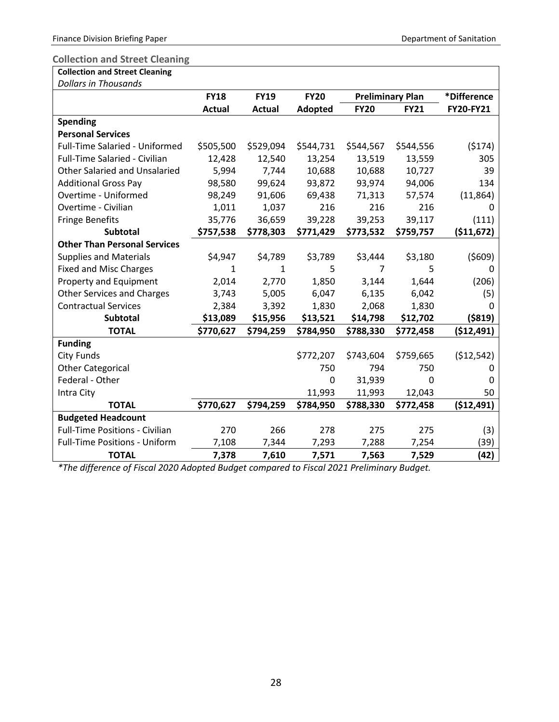# <span id="page-30-0"></span>**Collection and Street Cleaning**

|  |  | <b>Collection and Street Cleaning</b> |  |
|--|--|---------------------------------------|--|
|  |  |                                       |  |

| <b>Dollars in Thousands</b>           |               |             |              |             |                         |                  |
|---------------------------------------|---------------|-------------|--------------|-------------|-------------------------|------------------|
|                                       | <b>FY18</b>   | <b>FY19</b> | <b>FY20</b>  |             | <b>Preliminary Plan</b> | *Difference      |
|                                       | <b>Actual</b> | Actual      | Adopted      | <b>FY20</b> | <b>FY21</b>             | <b>FY20-FY21</b> |
| <b>Spending</b>                       |               |             |              |             |                         |                  |
| <b>Personal Services</b>              |               |             |              |             |                         |                  |
| <b>Full-Time Salaried - Uniformed</b> | \$505,500     | \$529,094   | \$544,731    | \$544,567   | \$544,556               | (5174)           |
| Full-Time Salaried - Civilian         | 12,428        | 12,540      | 13,254       | 13,519      | 13,559                  | 305              |
| <b>Other Salaried and Unsalaried</b>  | 5,994         | 7,744       | 10,688       | 10,688      | 10,727                  | 39               |
| <b>Additional Gross Pay</b>           | 98,580        | 99,624      | 93,872       | 93,974      | 94,006                  | 134              |
| Overtime - Uniformed                  | 98,249        | 91,606      | 69,438       | 71,313      | 57,574                  | (11, 864)        |
| Overtime - Civilian                   | 1,011         | 1,037       | 216          | 216         | 216                     | 0                |
| <b>Fringe Benefits</b>                | 35,776        | 36,659      | 39,228       | 39,253      | 39,117                  | (111)            |
| <b>Subtotal</b>                       | \$757,538     | \$778,303   | \$771,429    | \$773,532   | \$759,757               | (511, 672)       |
| <b>Other Than Personal Services</b>   |               |             |              |             |                         |                  |
| <b>Supplies and Materials</b>         | \$4,947       | \$4,789     | \$3,789      | \$3,444     | \$3,180                 | (5609)           |
| <b>Fixed and Misc Charges</b>         | 1             | 1           | 5            | 7           | 5                       | 0                |
| Property and Equipment                | 2,014         | 2,770       | 1,850        | 3,144       | 1,644                   | (206)            |
| <b>Other Services and Charges</b>     | 3,743         | 5,005       | 6,047        | 6,135       | 6,042                   | (5)              |
| <b>Contractual Services</b>           | 2,384         | 3,392       | 1,830        | 2,068       | 1,830                   | $\mathbf{0}$     |
| <b>Subtotal</b>                       | \$13,089      | \$15,956    | \$13,521     | \$14,798    | \$12,702                | ( \$819)         |
| <b>TOTAL</b>                          | \$770,627     | \$794,259   | \$784,950    | \$788,330   | \$772,458               | (512, 491)       |
| <b>Funding</b>                        |               |             |              |             |                         |                  |
| <b>City Funds</b>                     |               |             | \$772,207    | \$743,604   | \$759,665               | (512, 542)       |
| <b>Other Categorical</b>              |               |             | 750          | 794         | 750                     | 0                |
| Federal - Other                       |               |             | $\mathbf{0}$ | 31,939      | 0                       | 0                |
| Intra City                            |               |             | 11,993       | 11,993      | 12,043                  | 50               |
| <b>TOTAL</b>                          | \$770,627     | \$794,259   | \$784,950    | \$788,330   | \$772,458               | (512, 491)       |
| <b>Budgeted Headcount</b>             |               |             |              |             |                         |                  |
| <b>Full-Time Positions - Civilian</b> | 270           | 266         | 278          | 275         | 275                     | (3)              |
| <b>Full-Time Positions - Uniform</b>  | 7,108         | 7,344       | 7,293        | 7,288       | 7,254                   | (39)             |
| <b>TOTAL</b>                          | 7,378         | 7,610       | 7,571        | 7,563       | 7,529                   | (42)             |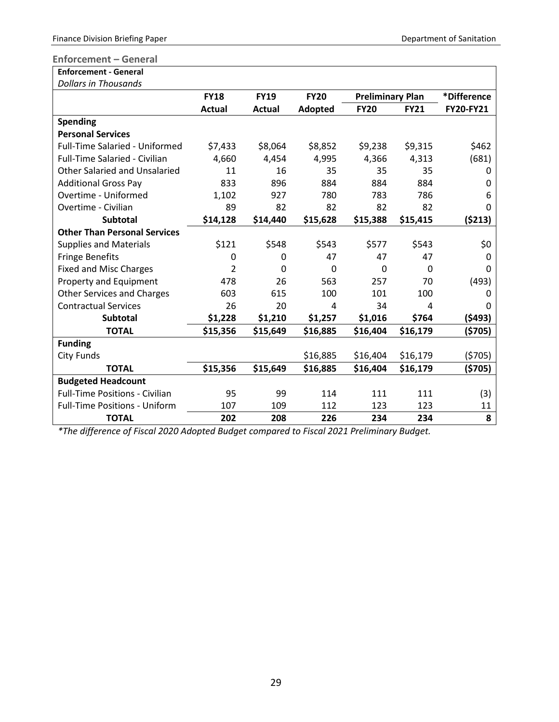### <span id="page-31-0"></span>**Enforcement – General**

| <b>Enforcement - General</b>          |               |               |             |                         |             |             |
|---------------------------------------|---------------|---------------|-------------|-------------------------|-------------|-------------|
| <b>Dollars in Thousands</b>           |               |               |             |                         |             |             |
|                                       | <b>FY18</b>   | <b>FY19</b>   | <b>FY20</b> | <b>Preliminary Plan</b> |             | *Difference |
|                                       | <b>Actual</b> | <b>Actual</b> | Adopted     | <b>FY20</b>             | <b>FY21</b> | FY20-FY21   |
| <b>Spending</b>                       |               |               |             |                         |             |             |
| <b>Personal Services</b>              |               |               |             |                         |             |             |
| <b>Full-Time Salaried - Uniformed</b> | \$7,433       | \$8,064       | \$8,852     | \$9,238                 | \$9,315     | \$462       |
| <b>Full-Time Salaried - Civilian</b>  | 4,660         | 4,454         | 4,995       | 4,366                   | 4,313       | (681)       |
| <b>Other Salaried and Unsalaried</b>  | 11            | 16            | 35          | 35                      | 35          | O           |
| <b>Additional Gross Pay</b>           | 833           | 896           | 884         | 884                     | 884         | 0           |
| Overtime - Uniformed                  | 1,102         | 927           | 780         | 783                     | 786         | 6           |
| Overtime - Civilian                   | 89            | 82            | 82          | 82                      | 82          | ŋ           |
| <b>Subtotal</b>                       | \$14,128      | \$14,440      | \$15,628    | \$15,388                | \$15,415    | (5213)      |
| <b>Other Than Personal Services</b>   |               |               |             |                         |             |             |
| <b>Supplies and Materials</b>         | \$121         | \$548         | \$543       | \$577                   | \$543       | \$0         |
| <b>Fringe Benefits</b>                | 0             | 0             | 47          | 47                      | 47          | 0           |
| <b>Fixed and Misc Charges</b>         | 2             | 0             | $\Omega$    | 0                       | 0           | 0           |
| Property and Equipment                | 478           | 26            | 563         | 257                     | 70          | (493)       |
| <b>Other Services and Charges</b>     | 603           | 615           | 100         | 101                     | 100         | O           |
| <b>Contractual Services</b>           | 26            | 20            | 4           | 34                      | 4           | O           |
| <b>Subtotal</b>                       | \$1,228       | \$1,210       | \$1,257     | \$1,016                 | \$764       | (5493)      |
| <b>TOTAL</b>                          | \$15,356      | \$15,649      | \$16,885    | \$16,404                | \$16,179    | (\$705)     |
| <b>Funding</b>                        |               |               |             |                         |             |             |
| <b>City Funds</b>                     |               |               | \$16,885    | \$16,404                | \$16,179    | (5705)      |
| <b>TOTAL</b>                          | \$15,356      | \$15,649      | \$16,885    | \$16,404                | \$16,179    | (\$705)     |
| <b>Budgeted Headcount</b>             |               |               |             |                         |             |             |
| <b>Full-Time Positions - Civilian</b> | 95            | 99            | 114         | 111                     | 111         | (3)         |
| <b>Full-Time Positions - Uniform</b>  | 107           | 109           | 112         | 123                     | 123         | 11          |
| <b>TOTAL</b>                          | 202           | 208           | 226         | 234                     | 234         | 8           |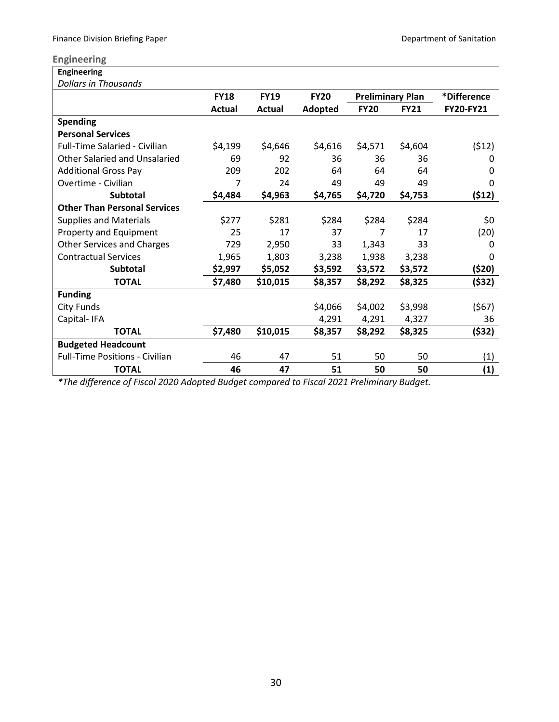# <span id="page-32-0"></span>**Engineering**

| <b>Engineering</b>                    |             |               |             |                         |             |             |
|---------------------------------------|-------------|---------------|-------------|-------------------------|-------------|-------------|
| <b>Dollars in Thousands</b>           |             |               |             |                         |             |             |
|                                       | <b>FY18</b> | <b>FY19</b>   | <b>FY20</b> | <b>Preliminary Plan</b> |             | *Difference |
|                                       | Actual      | <b>Actual</b> | Adopted     | <b>FY20</b>             | <b>FY21</b> | FY20-FY21   |
| <b>Spending</b>                       |             |               |             |                         |             |             |
| <b>Personal Services</b>              |             |               |             |                         |             |             |
| <b>Full-Time Salaried - Civilian</b>  | \$4,199     | \$4,646       | \$4,616     | \$4,571                 | \$4,604     | (512)       |
| Other Salaried and Unsalaried         | 69          | 92            | 36          | 36                      | 36          | O           |
| <b>Additional Gross Pay</b>           | 209         | 202           | 64          | 64                      | 64          | O           |
| Overtime - Civilian                   | 7           | 24            | 49          | 49                      | 49          | 0           |
| <b>Subtotal</b>                       | \$4,484     | \$4,963       | \$4,765     | \$4,720                 | \$4,753     | (512)       |
| <b>Other Than Personal Services</b>   |             |               |             |                         |             |             |
| <b>Supplies and Materials</b>         | \$277       | \$281         | \$284       | \$284                   | \$284       | \$0         |
| Property and Equipment                | 25          | 17            | 37          | 7                       | 17          | (20)        |
| <b>Other Services and Charges</b>     | 729         | 2,950         | 33          | 1,343                   | 33          | O           |
| <b>Contractual Services</b>           | 1,965       | 1,803         | 3,238       | 1,938                   | 3,238       | O           |
| <b>Subtotal</b>                       | \$2,997     | \$5,052       | \$3,592     | \$3,572                 | \$3,572     | (\$20)      |
| <b>TOTAL</b>                          | \$7,480     | \$10,015      | \$8,357     | \$8,292                 | \$8,325     | (\$32)      |
| <b>Funding</b>                        |             |               |             |                         |             |             |
| <b>City Funds</b>                     |             |               | \$4,066     | \$4,002                 | \$3,998     | (567)       |
| Capital-IFA                           |             |               | 4,291       | 4,291                   | 4,327       | 36          |
| <b>TOTAL</b>                          | \$7,480     | \$10,015      | \$8,357     | \$8,292                 | \$8,325     | (\$32)      |
| <b>Budgeted Headcount</b>             |             |               |             |                         |             |             |
| <b>Full-Time Positions - Civilian</b> | 46          | 47            | 51          | 50                      | 50          | (1)         |
| <b>TOTAL</b>                          | 46          | 47            | 51          | 50                      | 50          | (1)         |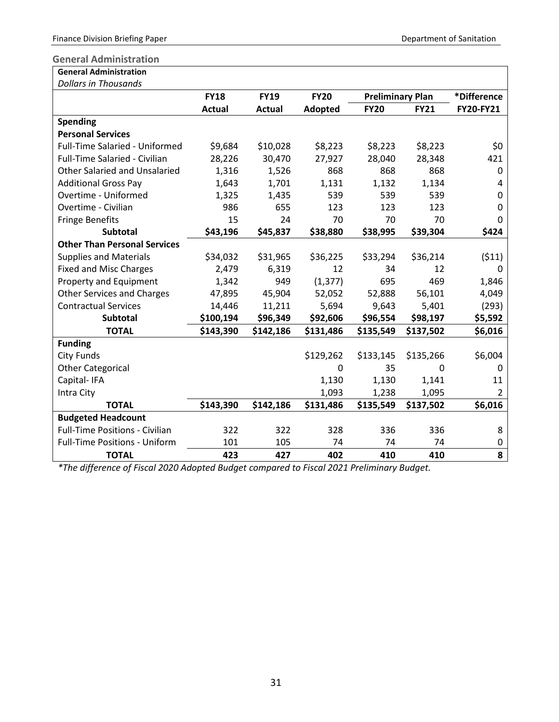#### <span id="page-33-0"></span>**General Administration**

| <b>General Administration</b> |  |
|-------------------------------|--|
| Dollars in Thousands          |  |

| <b>Dollars in Thousands</b>           |               |             |             |                         |             |                |
|---------------------------------------|---------------|-------------|-------------|-------------------------|-------------|----------------|
|                                       | <b>FY18</b>   | <b>FY19</b> | <b>FY20</b> | <b>Preliminary Plan</b> |             | *Difference    |
|                                       | <b>Actual</b> | Actual      | Adopted     | <b>FY20</b>             | <b>FY21</b> | FY20-FY21      |
| <b>Spending</b>                       |               |             |             |                         |             |                |
| <b>Personal Services</b>              |               |             |             |                         |             |                |
| Full-Time Salaried - Uniformed        | \$9,684       | \$10,028    | \$8,223     | \$8,223                 | \$8,223     | \$0            |
| Full-Time Salaried - Civilian         | 28,226        | 30,470      | 27,927      | 28,040                  | 28,348      | 421            |
| <b>Other Salaried and Unsalaried</b>  | 1,316         | 1,526       | 868         | 868                     | 868         | 0              |
| <b>Additional Gross Pay</b>           | 1,643         | 1,701       | 1,131       | 1,132                   | 1,134       | 4              |
| Overtime - Uniformed                  | 1,325         | 1,435       | 539         | 539                     | 539         | 0              |
| Overtime - Civilian                   | 986           | 655         | 123         | 123                     | 123         | 0              |
| <b>Fringe Benefits</b>                | 15            | 24          | 70          | 70                      | 70          | 0              |
| <b>Subtotal</b>                       | \$43,196      | \$45,837    | \$38,880    | \$38,995                | \$39,304    | \$424          |
| <b>Other Than Personal Services</b>   |               |             |             |                         |             |                |
| <b>Supplies and Materials</b>         | \$34,032      | \$31,965    | \$36,225    | \$33,294                | \$36,214    | (511)          |
| <b>Fixed and Misc Charges</b>         | 2,479         | 6,319       | 12          | 34                      | 12          | 0              |
| Property and Equipment                | 1,342         | 949         | (1, 377)    | 695                     | 469         | 1,846          |
| <b>Other Services and Charges</b>     | 47,895        | 45,904      | 52,052      | 52,888                  | 56,101      | 4,049          |
| <b>Contractual Services</b>           | 14,446        | 11,211      | 5,694       | 9,643                   | 5,401       | (293)          |
| <b>Subtotal</b>                       | \$100,194     | \$96,349    | \$92,606    | \$96,554                | \$98,197    | \$5,592        |
| <b>TOTAL</b>                          | \$143,390     | \$142,186   | \$131,486   | \$135,549               | \$137,502   | \$6,016        |
| <b>Funding</b>                        |               |             |             |                         |             |                |
| <b>City Funds</b>                     |               |             | \$129,262   | \$133,145               | \$135,266   | \$6,004        |
| <b>Other Categorical</b>              |               |             | 0           | 35                      | $\Omega$    | 0              |
| Capital-IFA                           |               |             | 1,130       | 1,130                   | 1,141       | 11             |
| Intra City                            |               |             | 1,093       | 1,238                   | 1,095       | $\overline{2}$ |
| <b>TOTAL</b>                          | \$143,390     | \$142,186   | \$131,486   | \$135,549               | \$137,502   | \$6,016        |
| <b>Budgeted Headcount</b>             |               |             |             |                         |             |                |
| <b>Full-Time Positions - Civilian</b> | 322           | 322         | 328         | 336                     | 336         | 8              |
| <b>Full-Time Positions - Uniform</b>  | 101           | 105         | 74          | 74                      | 74          | 0              |
| <b>TOTAL</b>                          | 423           | 427         | 402         | 410                     | 410         | 8              |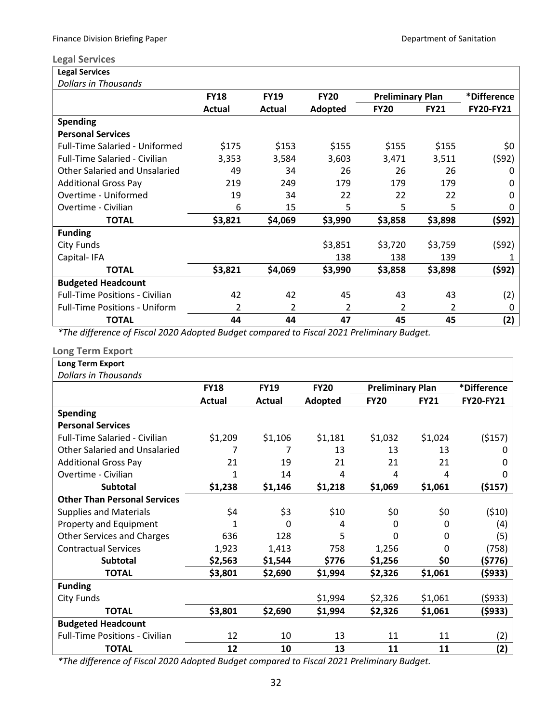#### <span id="page-34-0"></span>**Legal Services**

| <b>Legal Services</b>                 |               |                |             |                         |             |                  |
|---------------------------------------|---------------|----------------|-------------|-------------------------|-------------|------------------|
| <b>Dollars in Thousands</b>           |               |                |             |                         |             |                  |
|                                       | <b>FY18</b>   | <b>FY19</b>    | <b>FY20</b> | <b>Preliminary Plan</b> |             | *Difference      |
|                                       | <b>Actual</b> | Actual         | Adopted     | <b>FY20</b>             | <b>FY21</b> | <b>FY20-FY21</b> |
| <b>Spending</b>                       |               |                |             |                         |             |                  |
| <b>Personal Services</b>              |               |                |             |                         |             |                  |
| <b>Full-Time Salaried - Uniformed</b> | \$175         | \$153          | \$155       | \$155                   | \$155       | \$0              |
| <b>Full-Time Salaried - Civilian</b>  | 3,353         | 3,584          | 3,603       | 3,471                   | 3,511       | (\$92)           |
| Other Salaried and Unsalaried         | 49            | 34             | 26          | 26                      | 26          | 0                |
| <b>Additional Gross Pay</b>           | 219           | 249            | 179         | 179                     | 179         | O                |
| Overtime - Uniformed                  | 19            | 34             | 22          | 22                      | 22          | O                |
| Overtime - Civilian                   | 6             | 15             | 5           | 5                       | 5           | 0                |
| <b>TOTAL</b>                          | \$3,821       | \$4,069        | \$3,990     | \$3,858                 | \$3,898     | (\$92)           |
| <b>Funding</b>                        |               |                |             |                         |             |                  |
| City Funds                            |               |                | \$3,851     | \$3,720                 | \$3,759     | (\$92)           |
| Capital-IFA                           |               |                | 138         | 138                     | 139         |                  |
| <b>TOTAL</b>                          | \$3,821       | \$4,069        | \$3,990     | \$3,858                 | \$3,898     | (\$92)           |
| <b>Budgeted Headcount</b>             |               |                |             |                         |             |                  |
| <b>Full-Time Positions - Civilian</b> | 42            | 42             | 45          | 43                      | 43          | (2)              |
| <b>Full-Time Positions - Uniform</b>  | 2             | $\overline{2}$ | 2           | 2                       | 2           | 0                |
| <b>TOTAL</b>                          | 44            | 44             | 47          | 45                      | 45          | (2)              |

*\*The difference of Fiscal 2020 Adopted Budget compared to Fiscal 2021 Preliminary Budget.*

### <span id="page-34-1"></span>**Long Term Export**

| Long Term Export                      |               |             |             |                         |             |                  |
|---------------------------------------|---------------|-------------|-------------|-------------------------|-------------|------------------|
| <b>Dollars in Thousands</b>           |               |             |             |                         |             |                  |
|                                       | <b>FY18</b>   | <b>FY19</b> | <b>FY20</b> | <b>Preliminary Plan</b> |             | *Difference      |
|                                       | <b>Actual</b> | Actual      | Adopted     | <b>FY20</b>             | <b>FY21</b> | <b>FY20-FY21</b> |
| <b>Spending</b>                       |               |             |             |                         |             |                  |
| <b>Personal Services</b>              |               |             |             |                         |             |                  |
| <b>Full-Time Salaried - Civilian</b>  | \$1,209       | \$1,106     | \$1,181     | \$1,032                 | \$1,024     | ( \$157)         |
| Other Salaried and Unsalaried         | 7             | 7           | 13          | 13                      | 13          |                  |
| <b>Additional Gross Pay</b>           | 21            | 19          | 21          | 21                      | 21          |                  |
| Overtime - Civilian                   | 1             | 14          | 4           | 4                       | 4           |                  |
| <b>Subtotal</b>                       | \$1,238       | \$1,146     | \$1,218     | \$1,069                 | \$1,061     | (\$157)          |
| <b>Other Than Personal Services</b>   |               |             |             |                         |             |                  |
| <b>Supplies and Materials</b>         | \$4           | \$3         | \$10        | \$0                     | \$0         | (510)            |
| Property and Equipment                | 1             | 0           | 4           | 0                       | 0           | (4)              |
| <b>Other Services and Charges</b>     | 636           | 128         | 5           | O                       | 0           | (5)              |
| <b>Contractual Services</b>           | 1,923         | 1,413       | 758         | 1,256                   | 0           | (758)            |
| <b>Subtotal</b>                       | \$2,563       | \$1,544     | \$776       | \$1,256                 | \$0         | (\$776)          |
| <b>TOTAL</b>                          | \$3,801       | \$2,690     | \$1,994     | \$2,326                 | \$1,061     | (\$933)          |
| <b>Funding</b>                        |               |             |             |                         |             |                  |
| City Funds                            |               |             | \$1,994     | \$2,326                 | \$1,061     | (\$933)          |
| <b>TOTAL</b>                          | \$3,801       | \$2,690     | \$1,994     | \$2,326                 | \$1,061     | (\$933)          |
| <b>Budgeted Headcount</b>             |               |             |             |                         |             |                  |
| <b>Full-Time Positions - Civilian</b> | 12            | 10          | 13          | 11                      | 11          | (2)              |
| <b>TOTAL</b>                          | 12            | 10          | 13          | 11                      | 11          | (2)              |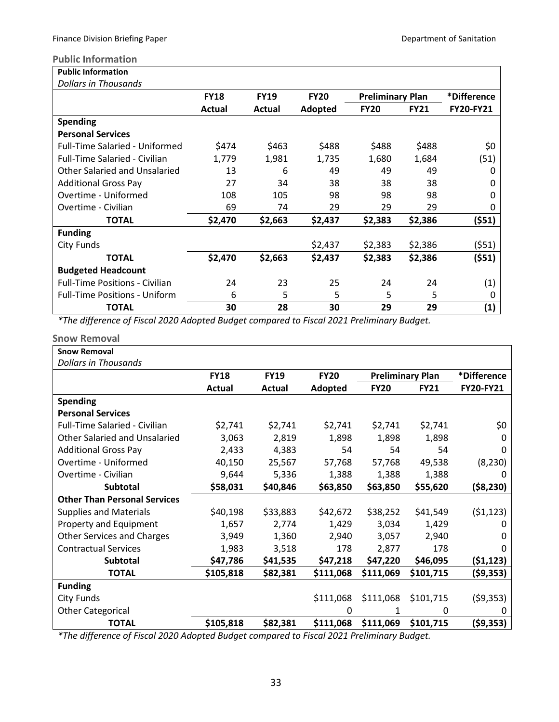### <span id="page-35-0"></span>**Public Information**

| <b>Public Information</b>             |               |             |             |                         |             |             |
|---------------------------------------|---------------|-------------|-------------|-------------------------|-------------|-------------|
| <b>Dollars in Thousands</b>           |               |             |             |                         |             |             |
|                                       | <b>FY18</b>   | <b>FY19</b> | <b>FY20</b> | <b>Preliminary Plan</b> |             | *Difference |
|                                       | <b>Actual</b> | Actual      | Adopted     | <b>FY20</b>             | <b>FY21</b> | FY20-FY21   |
| <b>Spending</b>                       |               |             |             |                         |             |             |
| <b>Personal Services</b>              |               |             |             |                         |             |             |
| <b>Full-Time Salaried - Uniformed</b> | \$474         | \$463       | \$488       | \$488                   | \$488       | \$0         |
| <b>Full-Time Salaried - Civilian</b>  | 1,779         | 1,981       | 1,735       | 1,680                   | 1,684       | (51)        |
| Other Salaried and Unsalaried         | 13            | 6           | 49          | 49                      | 49          | 0           |
| <b>Additional Gross Pay</b>           | 27            | 34          | 38          | 38                      | 38          | 0           |
| Overtime - Uniformed                  | 108           | 105         | 98          | 98                      | 98          | 0           |
| Overtime - Civilian                   | 69            | 74          | 29          | 29                      | 29          | Ω           |
| <b>TOTAL</b>                          | \$2,470       | \$2,663     | \$2,437     | \$2,383                 | \$2,386     | (\$51)      |
| <b>Funding</b>                        |               |             |             |                         |             |             |
| <b>City Funds</b>                     |               |             | \$2,437     | \$2,383                 | \$2,386     | (551)       |
| <b>TOTAL</b>                          | \$2,470       | \$2,663     | \$2,437     | \$2,383                 | \$2,386     | (\$51)      |
| <b>Budgeted Headcount</b>             |               |             |             |                         |             |             |
| <b>Full-Time Positions - Civilian</b> | 24            | 23          | 25          | 24                      | 24          | (1)         |
| <b>Full-Time Positions - Uniform</b>  | 6             | 5           | 5           | 5                       | 5           | 0           |
| <b>TOTAL</b>                          | 30            | 28          | 30          | 29                      | 29          | (1)         |

*\*The difference of Fiscal 2020 Adopted Budget compared to Fiscal 2021 Preliminary Budget.*

<span id="page-35-1"></span>

| <b>Snow Removal</b>                  |             |             |             |             |                         |                  |
|--------------------------------------|-------------|-------------|-------------|-------------|-------------------------|------------------|
| <b>Snow Removal</b>                  |             |             |             |             |                         |                  |
| <b>Dollars in Thousands</b>          |             |             |             |             |                         |                  |
|                                      | <b>FY18</b> | <b>FY19</b> | <b>FY20</b> |             | <b>Preliminary Plan</b> | *Difference      |
|                                      | Actual      | Actual      | Adopted     | <b>FY20</b> | <b>FY21</b>             | <b>FY20-FY21</b> |
| <b>Spending</b>                      |             |             |             |             |                         |                  |
| <b>Personal Services</b>             |             |             |             |             |                         |                  |
| <b>Full-Time Salaried - Civilian</b> | \$2,741     | \$2,741     | \$2,741     | \$2,741     | \$2,741                 | \$0              |
| Other Salaried and Unsalaried        | 3,063       | 2,819       | 1,898       | 1,898       | 1,898                   | 0                |
| <b>Additional Gross Pay</b>          | 2,433       | 4,383       | 54          | 54          | 54                      | 0                |
| Overtime - Uniformed                 | 40,150      | 25,567      | 57,768      | 57,768      | 49,538                  | (8, 230)         |
| Overtime - Civilian                  | 9,644       | 5,336       | 1,388       | 1,388       | 1,388                   | 0                |
| <b>Subtotal</b>                      | \$58,031    | \$40,846    | \$63,850    | \$63,850    | \$55,620                | ( \$8, 230)      |
| <b>Other Than Personal Services</b>  |             |             |             |             |                         |                  |
| <b>Supplies and Materials</b>        | \$40,198    | \$33,883    | \$42,672    | \$38,252    | \$41,549                | (51, 123)        |
| Property and Equipment               | 1,657       | 2,774       | 1,429       | 3,034       | 1,429                   | 0                |
| <b>Other Services and Charges</b>    | 3,949       | 1,360       | 2,940       | 3,057       | 2,940                   | 0                |
| <b>Contractual Services</b>          | 1,983       | 3,518       | 178         | 2,877       | 178                     | 0                |
| <b>Subtotal</b>                      | \$47,786    | \$41,535    | \$47,218    | \$47,220    | \$46,095                | (51, 123)        |
| <b>TOTAL</b>                         | \$105,818   | \$82,381    | \$111,068   | \$111,069   | \$101,715               | (\$9,353)        |
| <b>Funding</b>                       |             |             |             |             |                         |                  |
| <b>City Funds</b>                    |             |             | \$111,068   | \$111,068   | \$101,715               | (59,353)         |
| <b>Other Categorical</b>             |             |             | 0           | 1           | 0                       | 0                |
| <b>TOTAL</b>                         | \$105,818   | \$82,381    | \$111,068   | \$111,069   | \$101,715               | (59, 353)        |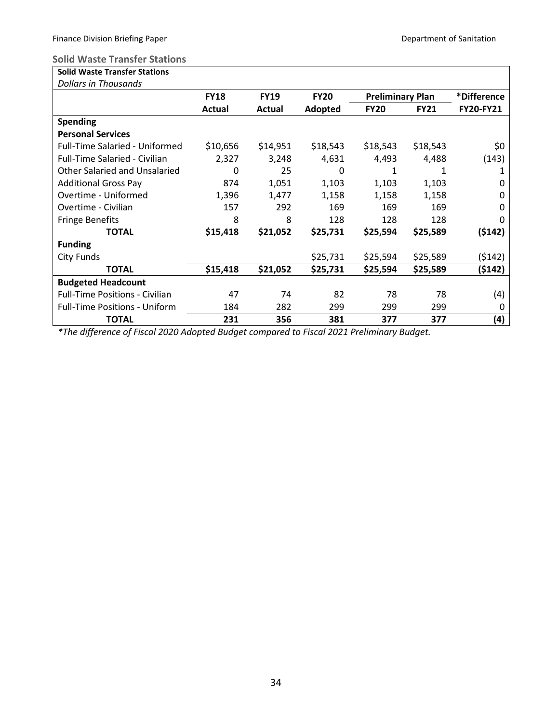# <span id="page-36-0"></span>**Solid Waste Transfer Stations**

| <b>Solid Waste Transfer Stations</b> |  |
|--------------------------------------|--|
|                                      |  |

| <b>Dollars in Thousands</b>           |             |             |             |                         |             |             |
|---------------------------------------|-------------|-------------|-------------|-------------------------|-------------|-------------|
|                                       | <b>FY18</b> | <b>FY19</b> | <b>FY20</b> | <b>Preliminary Plan</b> |             | *Difference |
|                                       | Actual      | Actual      | Adopted     | <b>FY20</b>             | <b>FY21</b> | FY20-FY21   |
| <b>Spending</b>                       |             |             |             |                         |             |             |
| <b>Personal Services</b>              |             |             |             |                         |             |             |
| <b>Full-Time Salaried - Uniformed</b> | \$10,656    | \$14,951    | \$18,543    | \$18,543                | \$18,543    | \$0         |
| <b>Full-Time Salaried - Civilian</b>  | 2,327       | 3,248       | 4,631       | 4,493                   | 4,488       | (143)       |
| Other Salaried and Unsalaried         | 0           | 25          | 0           | 1                       | 1           |             |
| <b>Additional Gross Pay</b>           | 874         | 1,051       | 1,103       | 1,103                   | 1,103       | 0           |
| Overtime - Uniformed                  | 1,396       | 1,477       | 1,158       | 1,158                   | 1,158       | O           |
| Overtime - Civilian                   | 157         | 292         | 169         | 169                     | 169         | O           |
| <b>Fringe Benefits</b>                | 8           | 8           | 128         | 128                     | 128         |             |
| <b>TOTAL</b>                          | \$15,418    | \$21,052    | \$25,731    | \$25,594                | \$25,589    | (\$142)     |
| <b>Funding</b>                        |             |             |             |                         |             |             |
| City Funds                            |             |             | \$25,731    | \$25,594                | \$25,589    | (\$142)     |
| <b>TOTAL</b>                          | \$15,418    | \$21,052    | \$25,731    | \$25,594                | \$25,589    | (\$142)     |
| <b>Budgeted Headcount</b>             |             |             |             |                         |             |             |
| <b>Full-Time Positions - Civilian</b> | 47          | 74          | 82          | 78                      | 78          | (4)         |
| <b>Full-Time Positions - Uniform</b>  | 184         | 282         | 299         | 299                     | 299         | 0           |
| <b>TOTAL</b>                          | 231         | 356         | 381         | 377                     | 377         | (4)         |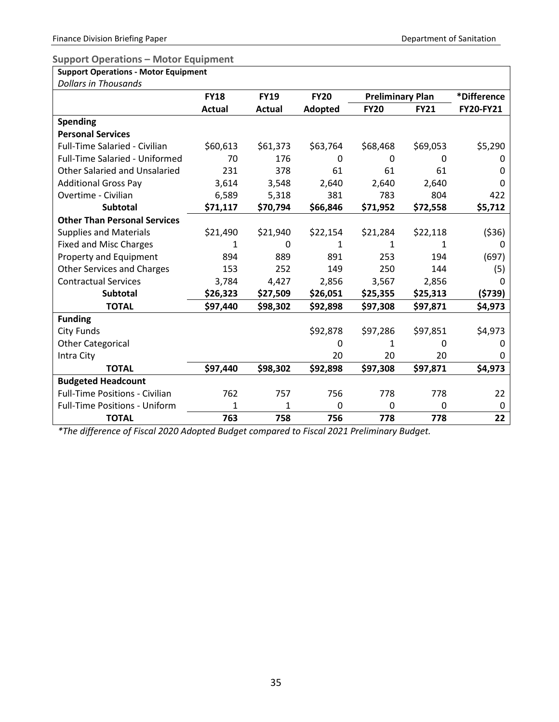<span id="page-37-0"></span>**Support Operations – Motor Equipment** 

| <b>Support Operations - Motor Equipment</b> |               |               |             |                         |             |             |
|---------------------------------------------|---------------|---------------|-------------|-------------------------|-------------|-------------|
| <b>Dollars in Thousands</b>                 |               |               |             |                         |             |             |
|                                             | <b>FY18</b>   | <b>FY19</b>   | <b>FY20</b> | <b>Preliminary Plan</b> |             | *Difference |
|                                             | <b>Actual</b> | <b>Actual</b> | Adopted     | <b>FY20</b>             | <b>FY21</b> | FY20-FY21   |
| <b>Spending</b>                             |               |               |             |                         |             |             |
| <b>Personal Services</b>                    |               |               |             |                         |             |             |
| Full-Time Salaried - Civilian               | \$60,613      | \$61,373      | \$63,764    | \$68,468                | \$69,053    | \$5,290     |
| Full-Time Salaried - Uniformed              | 70            | 176           | 0           | 0                       | 0           | 0           |
| <b>Other Salaried and Unsalaried</b>        | 231           | 378           | 61          | 61                      | 61          | O           |
| <b>Additional Gross Pay</b>                 | 3,614         | 3,548         | 2,640       | 2,640                   | 2,640       | 0           |
| Overtime - Civilian                         | 6,589         | 5,318         | 381         | 783                     | 804         | 422         |
| <b>Subtotal</b>                             | \$71,117      | \$70,794      | \$66,846    | \$71,952                | \$72,558    | \$5,712     |
| <b>Other Than Personal Services</b>         |               |               |             |                         |             |             |
| <b>Supplies and Materials</b>               | \$21,490      | \$21,940      | \$22,154    | \$21,284                | \$22,118    | (536)       |
| <b>Fixed and Misc Charges</b>               |               | 0             |             | 1                       |             | O           |
| Property and Equipment                      | 894           | 889           | 891         | 253                     | 194         | (697)       |
| <b>Other Services and Charges</b>           | 153           | 252           | 149         | 250                     | 144         | (5)         |
| <b>Contractual Services</b>                 | 3,784         | 4,427         | 2,856       | 3,567                   | 2,856       | 0           |
| <b>Subtotal</b>                             | \$26,323      | \$27,509      | \$26,051    | \$25,355                | \$25,313    | (\$739)     |
| <b>TOTAL</b>                                | \$97,440      | \$98,302      | \$92,898    | \$97,308                | \$97,871    | \$4,973     |
| <b>Funding</b>                              |               |               |             |                         |             |             |
| <b>City Funds</b>                           |               |               | \$92,878    | \$97,286                | \$97,851    | \$4,973     |
| <b>Other Categorical</b>                    |               |               | 0           | 1                       | 0           | 0           |
| Intra City                                  |               |               | 20          | 20                      | 20          | 0           |
| <b>TOTAL</b>                                | \$97,440      | \$98,302      | \$92,898    | \$97,308                | \$97,871    | \$4,973     |
| <b>Budgeted Headcount</b>                   |               |               |             |                         |             |             |
| <b>Full-Time Positions - Civilian</b>       | 762           | 757           | 756         | 778                     | 778         | 22          |
| <b>Full-Time Positions - Uniform</b>        | 1             | $\mathbf{1}$  | 0           | $\mathbf 0$             | 0           | 0           |
| <b>TOTAL</b>                                | 763           | 758           | 756         | 778                     | 778         | 22          |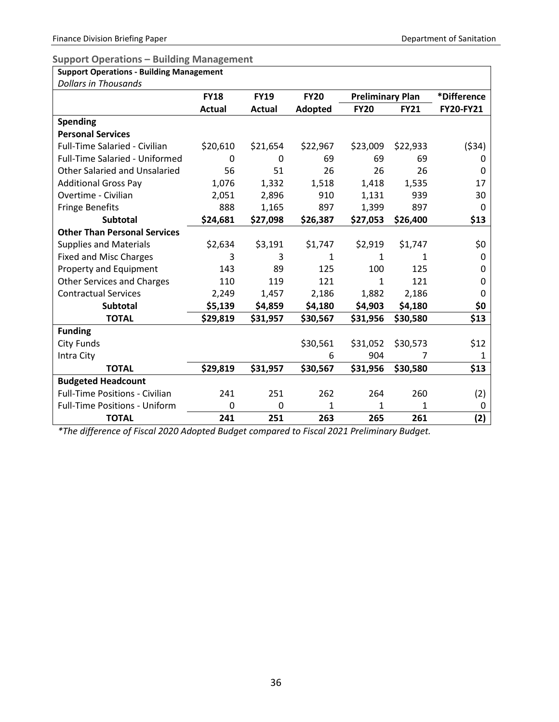$\overline{\phantom{0}}$ 

#### <span id="page-38-0"></span>**Support Operations – Building Management**

| <b>Support Operations - Building Management</b> |              |               |             |                         |             |             |  |  |
|-------------------------------------------------|--------------|---------------|-------------|-------------------------|-------------|-------------|--|--|
| <b>Dollars in Thousands</b>                     |              |               |             |                         |             |             |  |  |
|                                                 | <b>FY18</b>  | <b>FY19</b>   | <b>FY20</b> | <b>Preliminary Plan</b> |             | *Difference |  |  |
|                                                 | Actual       | <b>Actual</b> | Adopted     | <b>FY20</b>             | <b>FY21</b> | FY20-FY21   |  |  |
| <b>Spending</b>                                 |              |               |             |                         |             |             |  |  |
| <b>Personal Services</b>                        |              |               |             |                         |             |             |  |  |
| Full-Time Salaried - Civilian                   | \$20,610     | \$21,654      | \$22,967    | \$23,009                | \$22,933    | ( \$34)     |  |  |
| Full-Time Salaried - Uniformed                  | $\mathbf{0}$ | $\Omega$      | 69          | 69                      | 69          | 0           |  |  |
| <b>Other Salaried and Unsalaried</b>            | 56           | 51            | 26          | 26                      | 26          | 0           |  |  |
| <b>Additional Gross Pay</b>                     | 1,076        | 1,332         | 1,518       | 1,418                   | 1,535       | 17          |  |  |
| Overtime - Civilian                             | 2,051        | 2,896         | 910         | 1,131                   | 939         | 30          |  |  |
| <b>Fringe Benefits</b>                          | 888          | 1,165         | 897         | 1,399                   | 897         | $\Omega$    |  |  |
| Subtotal                                        | \$24,681     | \$27,098      | \$26,387    | \$27,053                | \$26,400    | \$13        |  |  |
| <b>Other Than Personal Services</b>             |              |               |             |                         |             |             |  |  |
| <b>Supplies and Materials</b>                   | \$2,634      | \$3,191       | \$1,747     | \$2,919                 | \$1,747     | \$0         |  |  |
| <b>Fixed and Misc Charges</b>                   | 3            | 3             | 1           | 1                       | 1           | 0           |  |  |
| Property and Equipment                          | 143          | 89            | 125         | 100                     | 125         | 0           |  |  |
| <b>Other Services and Charges</b>               | 110          | 119           | 121         | 1                       | 121         | 0           |  |  |
| <b>Contractual Services</b>                     | 2,249        | 1,457         | 2,186       | 1,882                   | 2,186       | 0           |  |  |
| <b>Subtotal</b>                                 | \$5,139      | \$4,859       | \$4,180     | \$4,903                 | \$4,180     | \$0         |  |  |
| <b>TOTAL</b>                                    | \$29,819     | \$31,957      | \$30,567    | \$31,956                | \$30,580    | \$13        |  |  |
| <b>Funding</b>                                  |              |               |             |                         |             |             |  |  |
| <b>City Funds</b>                               |              |               | \$30,561    | \$31,052                | \$30,573    | \$12        |  |  |
| Intra City                                      |              |               | 6           | 904                     | 7           | 1           |  |  |
| <b>TOTAL</b>                                    | \$29,819     | \$31,957      | \$30,567    | \$31,956                | \$30,580    | \$13        |  |  |
| <b>Budgeted Headcount</b>                       |              |               |             |                         |             |             |  |  |
| <b>Full-Time Positions - Civilian</b>           | 241          | 251           | 262         | 264                     | 260         | (2)         |  |  |
| <b>Full-Time Positions - Uniform</b>            | 0            | 0             | 1           | 1                       | 1           | 0           |  |  |
| <b>TOTAL</b>                                    | 241          | 251           | 263         | 265                     | 261         | (2)         |  |  |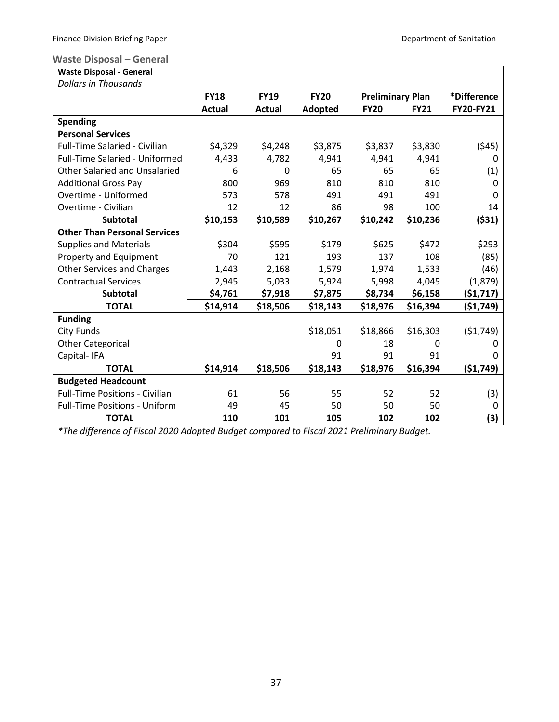### <span id="page-39-0"></span>**Waste Disposal – General**

| <b>Waste Disposal - General</b> |  |
|---------------------------------|--|
| Dollars in Thousands            |  |

| <b>Dollars in Thousands</b>           |               |             |             |                         |             |             |
|---------------------------------------|---------------|-------------|-------------|-------------------------|-------------|-------------|
|                                       | <b>FY18</b>   | <b>FY19</b> | <b>FY20</b> | <b>Preliminary Plan</b> |             | *Difference |
|                                       | <b>Actual</b> | Actual      | Adopted     | <b>FY20</b>             | <b>FY21</b> | FY20-FY21   |
| <b>Spending</b>                       |               |             |             |                         |             |             |
| <b>Personal Services</b>              |               |             |             |                         |             |             |
| <b>Full-Time Salaried - Civilian</b>  | \$4,329       | \$4,248     | \$3,875     | \$3,837                 | \$3,830     | (545)       |
| <b>Full-Time Salaried - Uniformed</b> | 4,433         | 4,782       | 4,941       | 4,941                   | 4,941       | 0           |
| <b>Other Salaried and Unsalaried</b>  | 6             | 0           | 65          | 65                      | 65          | (1)         |
| <b>Additional Gross Pay</b>           | 800           | 969         | 810         | 810                     | 810         | 0           |
| Overtime - Uniformed                  | 573           | 578         | 491         | 491                     | 491         | $\Omega$    |
| Overtime - Civilian                   | 12            | 12          | 86          | 98                      | 100         | 14          |
| <b>Subtotal</b>                       | \$10,153      | \$10,589    | \$10,267    | \$10,242                | \$10,236    | (531)       |
| <b>Other Than Personal Services</b>   |               |             |             |                         |             |             |
| <b>Supplies and Materials</b>         | \$304         | \$595       | \$179       | \$625                   | \$472       | \$293       |
| Property and Equipment                | 70            | 121         | 193         | 137                     | 108         | (85)        |
| <b>Other Services and Charges</b>     | 1,443         | 2,168       | 1,579       | 1,974                   | 1,533       | (46)        |
| <b>Contractual Services</b>           | 2,945         | 5,033       | 5,924       | 5,998                   | 4,045       | (1,879)     |
| <b>Subtotal</b>                       | \$4,761       | \$7,918     | \$7,875     | \$8,734                 | \$6,158     | (51, 717)   |
| <b>TOTAL</b>                          | \$14,914      | \$18,506    | \$18,143    | \$18,976                | \$16,394    | ( \$1,749)  |
| <b>Funding</b>                        |               |             |             |                         |             |             |
| <b>City Funds</b>                     |               |             | \$18,051    | \$18,866                | \$16,303    | (51, 749)   |
| <b>Other Categorical</b>              |               |             | 0           | 18                      | 0           | Ω           |
| Capital-IFA                           |               |             | 91          | 91                      | 91          | 0           |
| <b>TOTAL</b>                          | \$14,914      | \$18,506    | \$18,143    | \$18,976                | \$16,394    | ( \$1,749)  |
| <b>Budgeted Headcount</b>             |               |             |             |                         |             |             |
| <b>Full-Time Positions - Civilian</b> | 61            | 56          | 55          | 52                      | 52          | (3)         |
| <b>Full-Time Positions - Uniform</b>  | 49            | 45          | 50          | 50                      | 50          | 0           |
| <b>TOTAL</b>                          | 110           | 101         | 105         | 102                     | 102         | (3)         |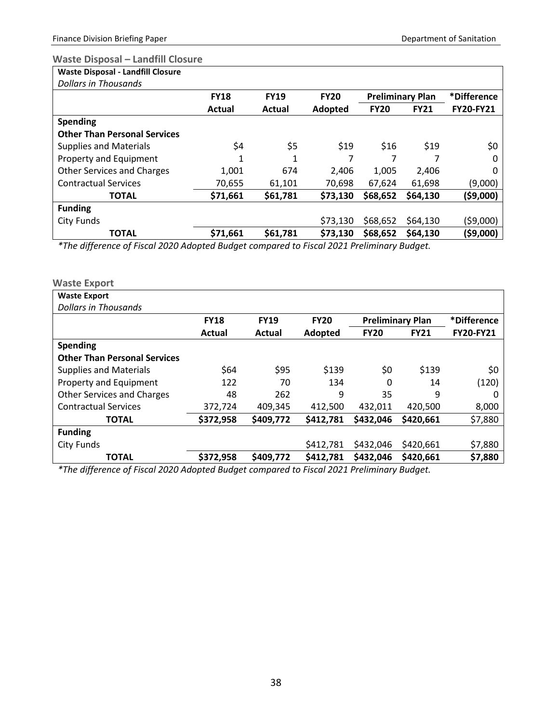# <span id="page-40-0"></span>**Waste Disposal – Landfill Closure**

|  |  | <b>Waste Disposal - Landfill Closure</b> |
|--|--|------------------------------------------|
|  |  |                                          |

| Dollars in Thousands                |             |             |             |                         |             |                  |
|-------------------------------------|-------------|-------------|-------------|-------------------------|-------------|------------------|
|                                     | <b>FY18</b> | <b>FY19</b> | <b>FY20</b> | <b>Preliminary Plan</b> |             | *Difference      |
|                                     | Actual      | Actual      | Adopted     | <b>FY20</b>             | <b>FY21</b> | <b>FY20-FY21</b> |
| <b>Spending</b>                     |             |             |             |                         |             |                  |
| <b>Other Than Personal Services</b> |             |             |             |                         |             |                  |
| <b>Supplies and Materials</b>       | \$4         | \$5         | \$19        | \$16                    | \$19        | \$0              |
| Property and Equipment              |             | 1           |             |                         |             | 0                |
| <b>Other Services and Charges</b>   | 1,001       | 674         | 2,406       | 1,005                   | 2,406       |                  |
| <b>Contractual Services</b>         | 70,655      | 61,101      | 70,698      | 67,624                  | 61,698      | (9,000)          |
| <b>TOTAL</b>                        | \$71,661    | \$61,781    | \$73,130    | \$68,652                | \$64,130    | (\$9,000)        |
| <b>Funding</b>                      |             |             |             |                         |             |                  |
| <b>City Funds</b>                   |             |             | \$73,130    | \$68,652                | \$64,130    | (\$9,000)        |
| <b>TOTAL</b>                        | \$71,661    | \$61,781    | \$73,130    | \$68,652                | \$64,130    | (\$9,000)        |
|                                     |             |             |             |                         |             |                  |

*\*The difference of Fiscal 2020 Adopted Budget compared to Fiscal 2021 Preliminary Budget.*

### <span id="page-40-1"></span>**Waste Export**

| <b>Waste Export</b>                 |             |             |             |                         |             |                  |
|-------------------------------------|-------------|-------------|-------------|-------------------------|-------------|------------------|
| <b>Dollars in Thousands</b>         |             |             |             |                         |             |                  |
|                                     | <b>FY18</b> | <b>FY19</b> | <b>FY20</b> | <b>Preliminary Plan</b> |             | *Difference      |
|                                     | Actual      | Actual      | Adopted     | <b>FY20</b>             | <b>FY21</b> | <b>FY20-FY21</b> |
| <b>Spending</b>                     |             |             |             |                         |             |                  |
| <b>Other Than Personal Services</b> |             |             |             |                         |             |                  |
| <b>Supplies and Materials</b>       | \$64        | \$95        | \$139       | \$0                     | \$139       | \$0              |
| Property and Equipment              | 122         | 70          | 134         | 0                       | 14          | (120)            |
| <b>Other Services and Charges</b>   | 48          | 262         | 9           | 35                      | 9           | 0                |
| <b>Contractual Services</b>         | 372,724     | 409,345     | 412,500     | 432,011                 | 420,500     | 8,000            |
| <b>TOTAL</b>                        | \$372,958   | \$409,772   | \$412,781   | \$432,046               | \$420,661   | \$7,880          |
| <b>Funding</b>                      |             |             |             |                         |             |                  |
| <b>City Funds</b>                   |             |             | \$412,781   | \$432,046               | \$420,661   | \$7,880          |
| <b>TOTAL</b>                        | \$372,958   | \$409,772   | \$412,781   | \$432,046               | \$420,661   | \$7,880          |